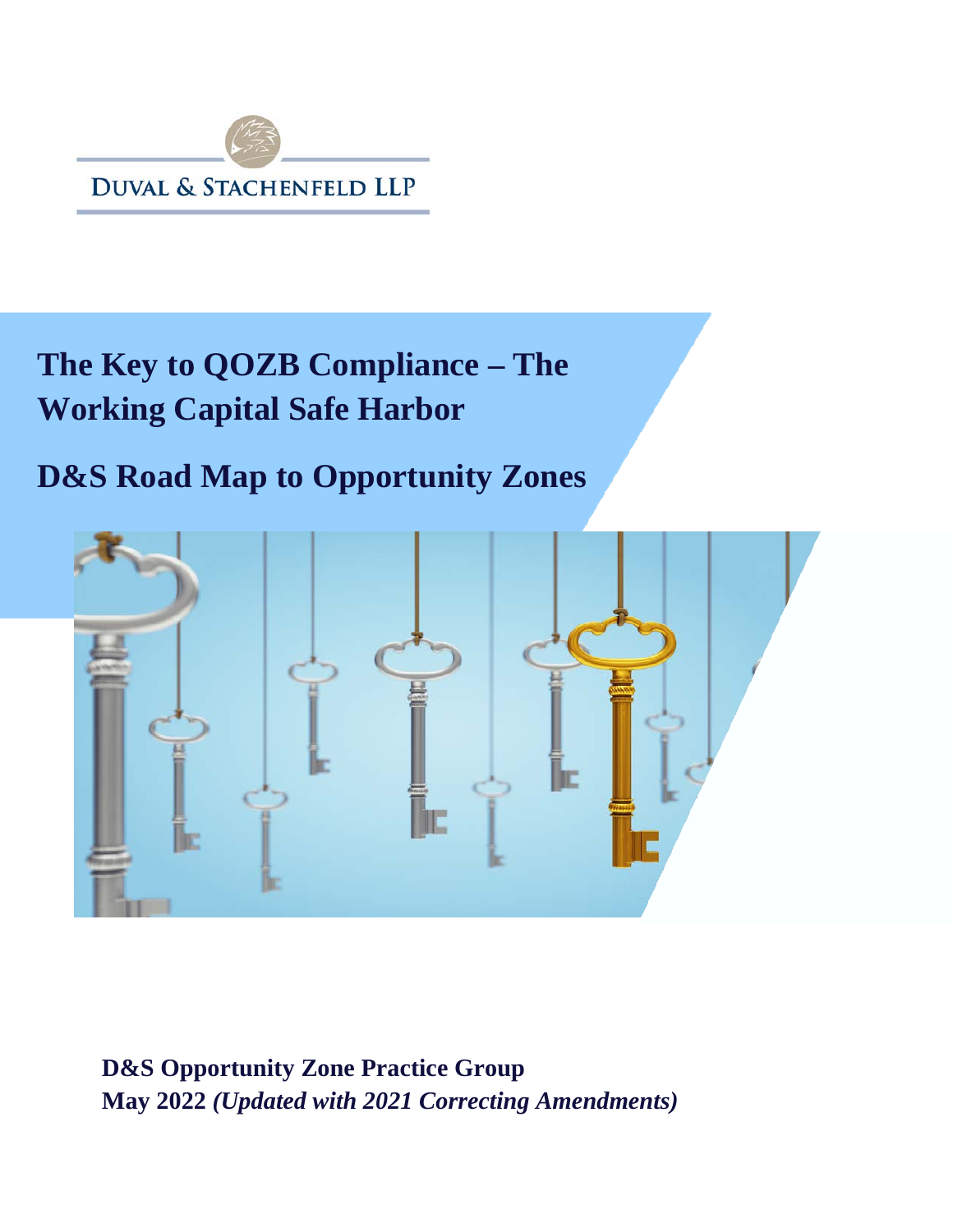

# **The Key to QOZB Compliance – The Working Capital Safe Harbor**

## **D&S Road Map to Opportunity Zones**



**D&S Opportunity Zone Practice Group May 2022** *(Updated with 2021 Correcting Amendments)*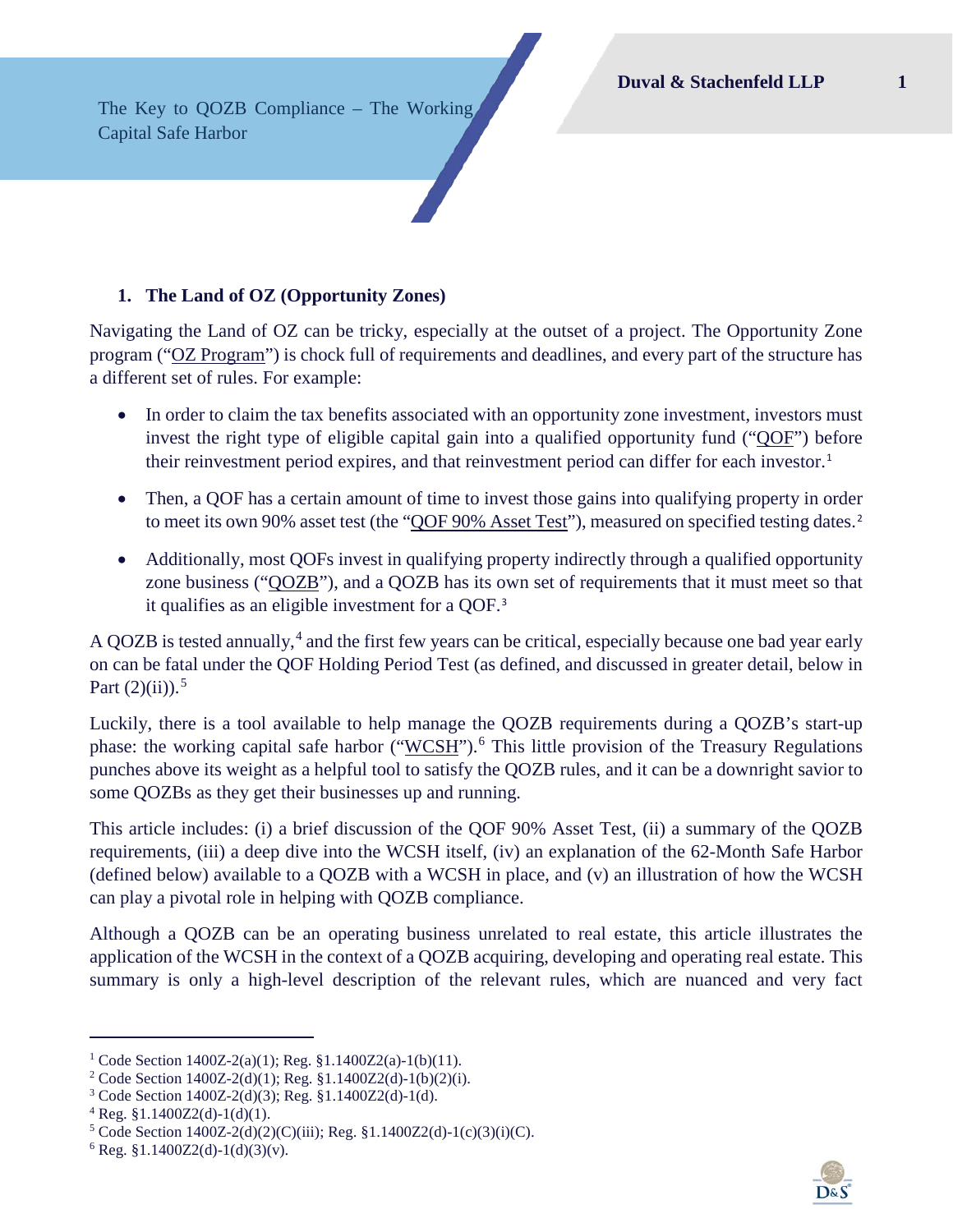The Key to QOZB Compliance – The Working Capital Safe Harbor

## **1. The Land of OZ (Opportunity Zones)**

Navigating the Land of OZ can be tricky, especially at the outset of a project. The Opportunity Zone program ("OZ Program") is chock full of requirements and deadlines, and every part of the structure has a different set of rules. For example:

- In order to claim the tax benefits associated with an opportunity zone investment, investors must invest the right type of eligible capital gain into a qualified opportunity fund ("QOF") before their reinvestment period expires, and that reinvestment period can differ for each investor.<sup>[1](#page-1-0)</sup>
- Then, a OOF has a certain amount of time to invest those gains into qualifying property in order to meet its own 90% asset test (the "QOF 90% Asset Test"), measured on specified testing dates.<sup>[2](#page-1-1)</sup>
- Additionally, most OOFs invest in qualifying property indirectly through a qualified opportunity zone business ("QOZB"), and a QOZB has its own set of requirements that it must meet so that it qualifies as an eligible investment for a QOF.[3](#page-1-2)

A QOZB is tested annually,<sup>[4](#page-1-3)</sup> and the first few years can be critical, especially because one bad year early on can be fatal under the QOF Holding Period Test (as defined, and discussed in greater detail, below in Part  $(2)(ii)$ .<sup>[5](#page-1-4)</sup>

Luckily, there is a tool available to help manage the QOZB requirements during a QOZB's start-up phase: the working capital safe harbor ("WCSH").<sup>[6](#page-1-5)</sup> This little provision of the Treasury Regulations punches above its weight as a helpful tool to satisfy the QOZB rules, and it can be a downright savior to some QOZBs as they get their businesses up and running.

This article includes: (i) a brief discussion of the QOF 90% Asset Test, (ii) a summary of the QOZB requirements, (iii) a deep dive into the WCSH itself, (iv) an explanation of the 62-Month Safe Harbor (defined below) available to a QOZB with a WCSH in place, and (v) an illustration of how the WCSH can play a pivotal role in helping with QOZB compliance.

Although a QOZB can be an operating business unrelated to real estate, this article illustrates the application of the WCSH in the context of a QOZB acquiring, developing and operating real estate. This summary is only a high-level description of the relevant rules, which are nuanced and very fact



<sup>&</sup>lt;sup>1</sup> Code Section 1400Z-2(a)(1); Reg. §1.1400Z2(a)-1(b)(11).

<span id="page-1-2"></span><span id="page-1-1"></span><span id="page-1-0"></span><sup>2</sup> Code Section 1400Z-2(d)(1); Reg. §1.1400Z2(d)-1(b)(2)(i).

<sup>3</sup> Code Section 1400Z-2(d)(3); Reg. §1.1400Z2(d)-1(d).

<span id="page-1-3"></span> $4$  Reg. §1.1400Z2(d)-1(d)(1).

<span id="page-1-4"></span> $5 \text{ Code Section } 1400Z-2(d)(2)(C)(iii)$ ; Reg. §1.1400Z2(d)-1(c)(3)(i)(C).

<span id="page-1-5"></span> $6$  Reg. §1.1400Z2(d)-1(d)(3)(v).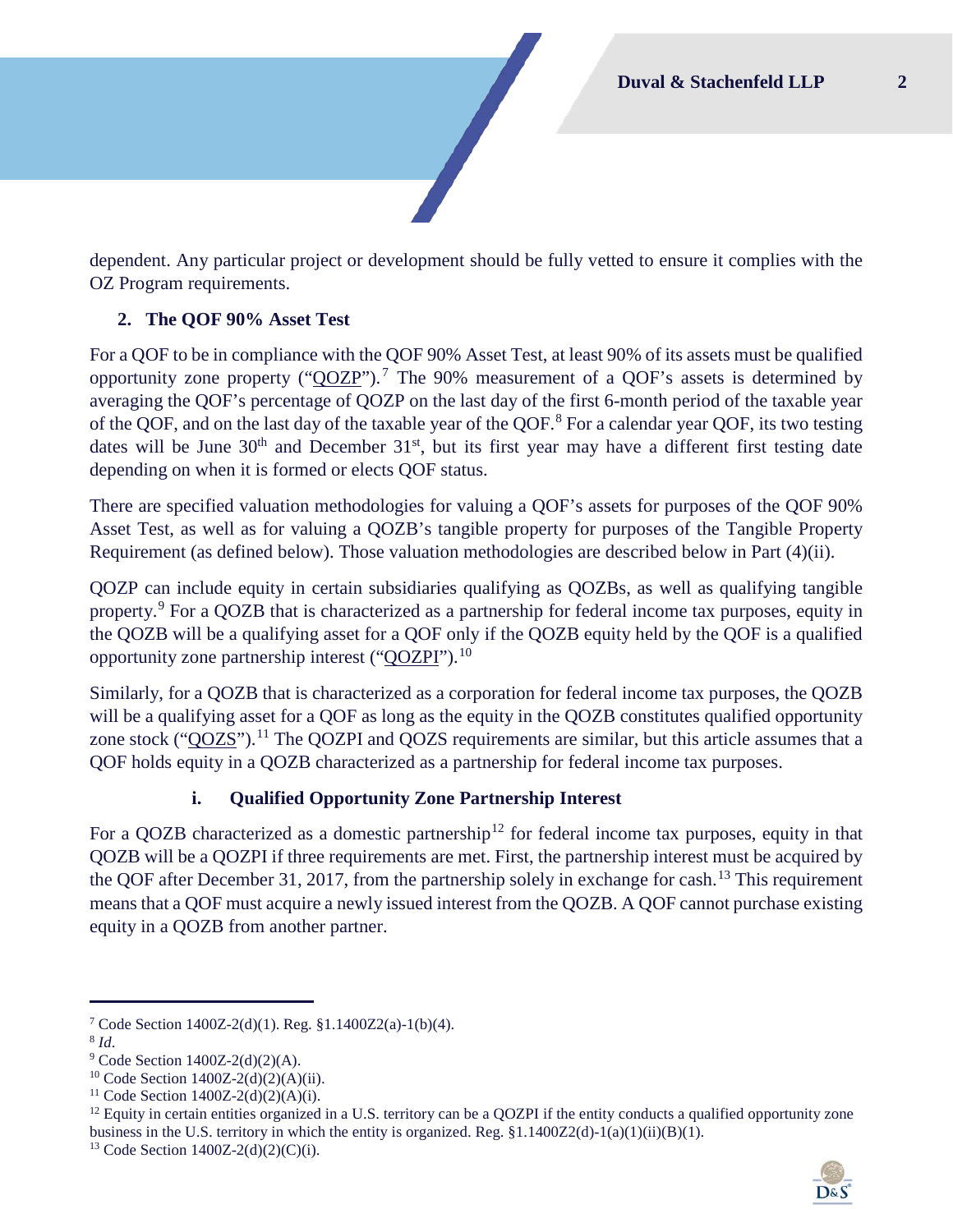dependent. Any particular project or development should be fully vetted to ensure it complies with the OZ Program requirements.

## **2. The QOF 90% Asset Test**

For a QOF to be in compliance with the QOF 90% Asset Test, at least 90% of its assets must be qualified opportunity zone property (" $\overline{QOZP}$ ").<sup>[7](#page-2-0)</sup> The 90% measurement of a  $\overline{QOF}$ 's assets is determined by averaging the QOF's percentage of QOZP on the last day of the first 6-month period of the taxable year of the QOF, and on the last day of the taxable year of the QOF.<sup>[8](#page-2-1)</sup> For a calendar year QOF, its two testing dates will be June  $30<sup>th</sup>$  and December  $31<sup>st</sup>$ , but its first year may have a different first testing date depending on when it is formed or elects QOF status.

There are specified valuation methodologies for valuing a QOF's assets for purposes of the QOF 90% Asset Test, as well as for valuing a QOZB's tangible property for purposes of the Tangible Property Requirement (as defined below). Those valuation methodologies are described below in Part [\(4\)\(ii\).](#page-7-0)

QOZP can include equity in certain subsidiaries qualifying as QOZBs, as well as qualifying tangible property.[9](#page-2-2) For a QOZB that is characterized as a partnership for federal income tax purposes, equity in the QOZB will be a qualifying asset for a QOF only if the QOZB equity held by the QOF is a qualified opportunity zone partnership interest ("QOZPI").<sup>[10](#page-2-3)</sup>

Similarly, for a QOZB that is characterized as a corporation for federal income tax purposes, the QOZB will be a qualifying asset for a QOF as long as the equity in the QOZB constitutes qualified opportunity zone stock ("QOZS").<sup>[11](#page-2-4)</sup> The QOZPI and QOZS requirements are similar, but this article assumes that a QOF holds equity in a QOZB characterized as a partnership for federal income tax purposes.

## **i. Qualified Opportunity Zone Partnership Interest**

For a OOZB characterized as a domestic partnership<sup>[12](#page-2-5)</sup> for federal income tax purposes, equity in that QOZB will be a QOZPI if three requirements are met. First, the partnership interest must be acquired by the QOF after December 31, 2017, from the partnership solely in exchange for cash.<sup>[13](#page-2-6)</sup> This requirement means that a QOF must acquire a newly issued interest from the QOZB. A QOF cannot purchase existing equity in a QOZB from another partner.

<span id="page-2-5"></span><span id="page-2-4"></span> $12$  Equity in certain entities organized in a U.S. territory can be a QOZPI if the entity conducts a qualified opportunity zone business in the U.S. territory in which the entity is organized. Reg.  $\S1.1400Z2(d)-1(a)(1)(ii)(B)(1)$ .



<span id="page-2-1"></span><span id="page-2-0"></span><sup>&</sup>lt;sup>7</sup> Code Section 1400Z-2(d)(1). Reg. §1.1400Z2(a)-1(b)(4). <sup>8</sup> Id.

<span id="page-2-3"></span><span id="page-2-2"></span><sup>&</sup>lt;sup>9</sup> Code Section 1400Z-2(d)(2)(A).<br><sup>10</sup> Code Section 1400Z-2(d)(2)(A)(ii).<br><sup>11</sup> Code Section 1400Z-2(d)(2)(A)(i).

<span id="page-2-6"></span><sup>&</sup>lt;sup>13</sup> Code Section  $1400Z-2(d)(2)(C)(i)$ .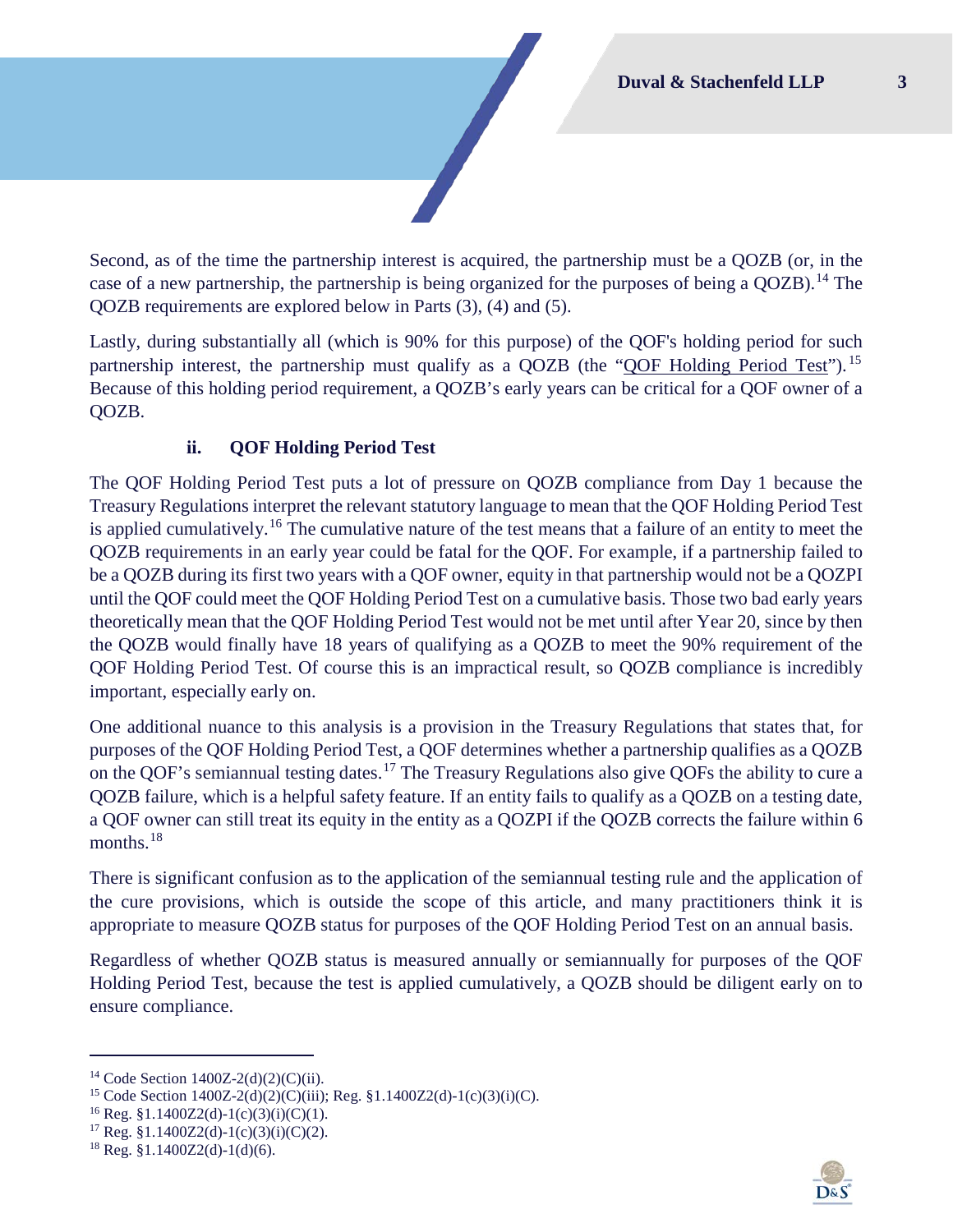Second, as of the time the partnership interest is acquired, the partnership must be a QOZB (or, in the case of a new partnership, the partnership is being organized for the purposes of being a QOZB).<sup>[14](#page-3-1)</sup> The QOZB requirements are explored below in Parts [\(3\),](#page-4-0) [\(4\)](#page-4-1) and [\(5\).](#page-8-0)

Lastly, during substantially all (which is 90% for this purpose) of the QOF's holding period for such partnership interest, the partnership must qualify as a QOZB (the "QOF Holding Period Test"). <sup>[15](#page-3-2)</sup> Because of this holding period requirement, a QOZB's early years can be critical for a QOF owner of a QOZB.

## **ii. QOF Holding Period Test**

<span id="page-3-0"></span>The QOF Holding Period Test puts a lot of pressure on QOZB compliance from Day 1 because the Treasury Regulations interpret the relevant statutory language to mean that the QOF Holding Period Test is applied cumulatively.<sup>[16](#page-3-3)</sup> The cumulative nature of the test means that a failure of an entity to meet the QOZB requirements in an early year could be fatal for the QOF. For example, if a partnership failed to be a QOZB during its first two years with a QOF owner, equity in that partnership would not be a QOZPI until the QOF could meet the QOF Holding Period Test on a cumulative basis. Those two bad early years theoretically mean that the QOF Holding Period Test would not be met until after Year 20, since by then the QOZB would finally have 18 years of qualifying as a QOZB to meet the 90% requirement of the QOF Holding Period Test. Of course this is an impractical result, so QOZB compliance is incredibly important, especially early on.

One additional nuance to this analysis is a provision in the Treasury Regulations that states that, for purposes of the QOF Holding Period Test, a QOF determines whether a partnership qualifies as a QOZB on the QOF's semiannual testing dates.[17](#page-3-4) The Treasury Regulations also give QOFs the ability to cure a QOZB failure, which is a helpful safety feature. If an entity fails to qualify as a QOZB on a testing date, a QOF owner can still treat its equity in the entity as a QOZPI if the QOZB corrects the failure within 6 months.<sup>[18](#page-3-5)</sup>

There is significant confusion as to the application of the semiannual testing rule and the application of the cure provisions, which is outside the scope of this article, and many practitioners think it is appropriate to measure QOZB status for purposes of the QOF Holding Period Test on an annual basis.

Regardless of whether QOZB status is measured annually or semiannually for purposes of the QOF Holding Period Test, because the test is applied cumulatively, a QOZB should be diligent early on to ensure compliance.



<span id="page-3-2"></span><span id="page-3-1"></span><sup>&</sup>lt;sup>14</sup> Code Section 1400Z-2(d)(2)(C)(ii).<br><sup>15</sup> Code Section 1400Z-2(d)(2)(C)(iii); Reg. §1.1400Z2(d)-1(c)(3)(i)(C).<br><sup>16</sup> Reg. §1.1400Z2(d)-1(c)(3)(i)(C)(1).<br><sup>17</sup> Reg. §1.1400Z2(d)-1(c)(3)(i)(C)(2).

<span id="page-3-3"></span>

<span id="page-3-4"></span>

<span id="page-3-5"></span> $18$  Reg. §1.1400Z2(d)-1(d)(6).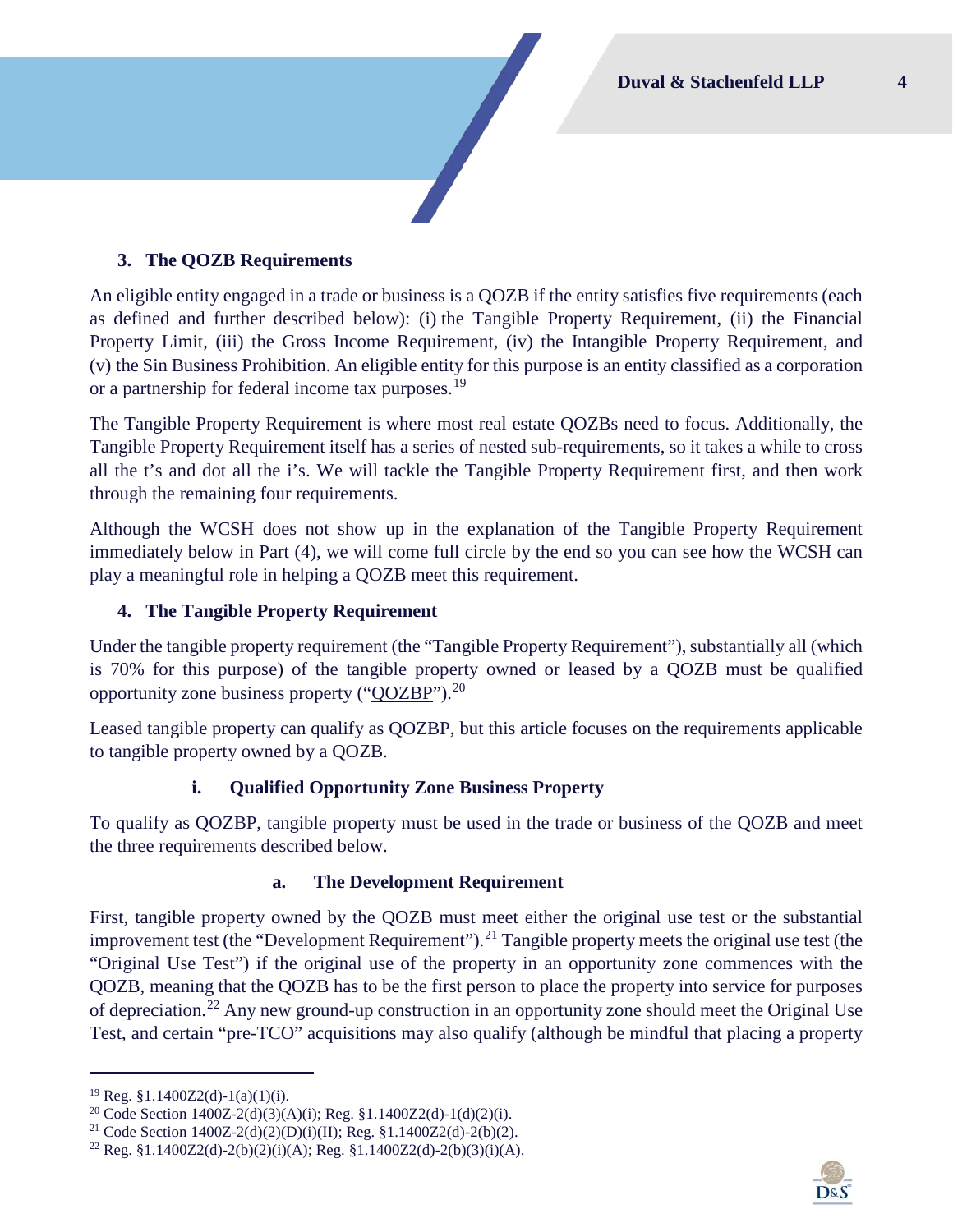## <span id="page-4-0"></span>**3. The QOZB Requirements**

An eligible entity engaged in a trade or business is a QOZB if the entity satisfies five requirements (each as defined and further described below): (i) the Tangible Property Requirement, (ii) the Financial Property Limit, (iii) the Gross Income Requirement, (iv) the Intangible Property Requirement, and (v) the Sin Business Prohibition. An eligible entity for this purpose is an entity classified as a corporation or a partnership for federal income tax purposes.<sup>[19](#page-4-2)</sup>

The Tangible Property Requirement is where most real estate QOZBs need to focus. Additionally, the Tangible Property Requirement itself has a series of nested sub-requirements, so it takes a while to cross all the t's and dot all the i's. We will tackle the Tangible Property Requirement first, and then work through the remaining four requirements.

Although the WCSH does not show up in the explanation of the Tangible Property Requirement immediately below in Part [\(4\),](#page-4-1) we will come full circle by the end so you can see how the WCSH can play a meaningful role in helping a QOZB meet this requirement.

#### <span id="page-4-1"></span>**4. The Tangible Property Requirement**

Under the tangible property requirement (the "Tangible Property Requirement"), substantially all (which is 70% for this purpose) of the tangible property owned or leased by a QOZB must be qualified opportunity zone business property ("QOZBP").[20](#page-4-3)

Leased tangible property can qualify as QOZBP, but this article focuses on the requirements applicable to tangible property owned by a QOZB.

#### **i. Qualified Opportunity Zone Business Property**

To qualify as QOZBP, tangible property must be used in the trade or business of the QOZB and meet the three requirements described below.

#### **a. The Development Requirement**

First, tangible property owned by the QOZB must meet either the original use test or the substantial improvement test (the "Development Requirement").<sup>[21](#page-4-4)</sup> Tangible property meets the original use test (the "Original Use Test") if the original use of the property in an opportunity zone commences with the QOZB, meaning that the QOZB has to be the first person to place the property into service for purposes of depreciation.[22](#page-4-5) Any new ground-up construction in an opportunity zone should meet the Original Use Test, and certain "pre-TCO" acquisitions may also qualify (although be mindful that placing a property



<span id="page-4-2"></span><sup>&</sup>lt;sup>19</sup> Reg. §1.1400Z2(d)-1(a)(1)(i).<br><sup>20</sup> Code Section 1400Z-2(d)(3)(A)(i); Reg. §1.1400Z2(d)-1(d)(2)(i).

<span id="page-4-4"></span><span id="page-4-3"></span><sup>&</sup>lt;sup>21</sup> Code Section 1400Z-2(d)(2)(D)(i)(II); Reg. §1.1400Z2(d)-2(b)(2).

<span id="page-4-5"></span><sup>&</sup>lt;sup>22</sup> Reg. §1.1400Z2(d)-2(b)(2)(i)(A); Reg. §1.1400Z2(d)-2(b)(3)(i)(A).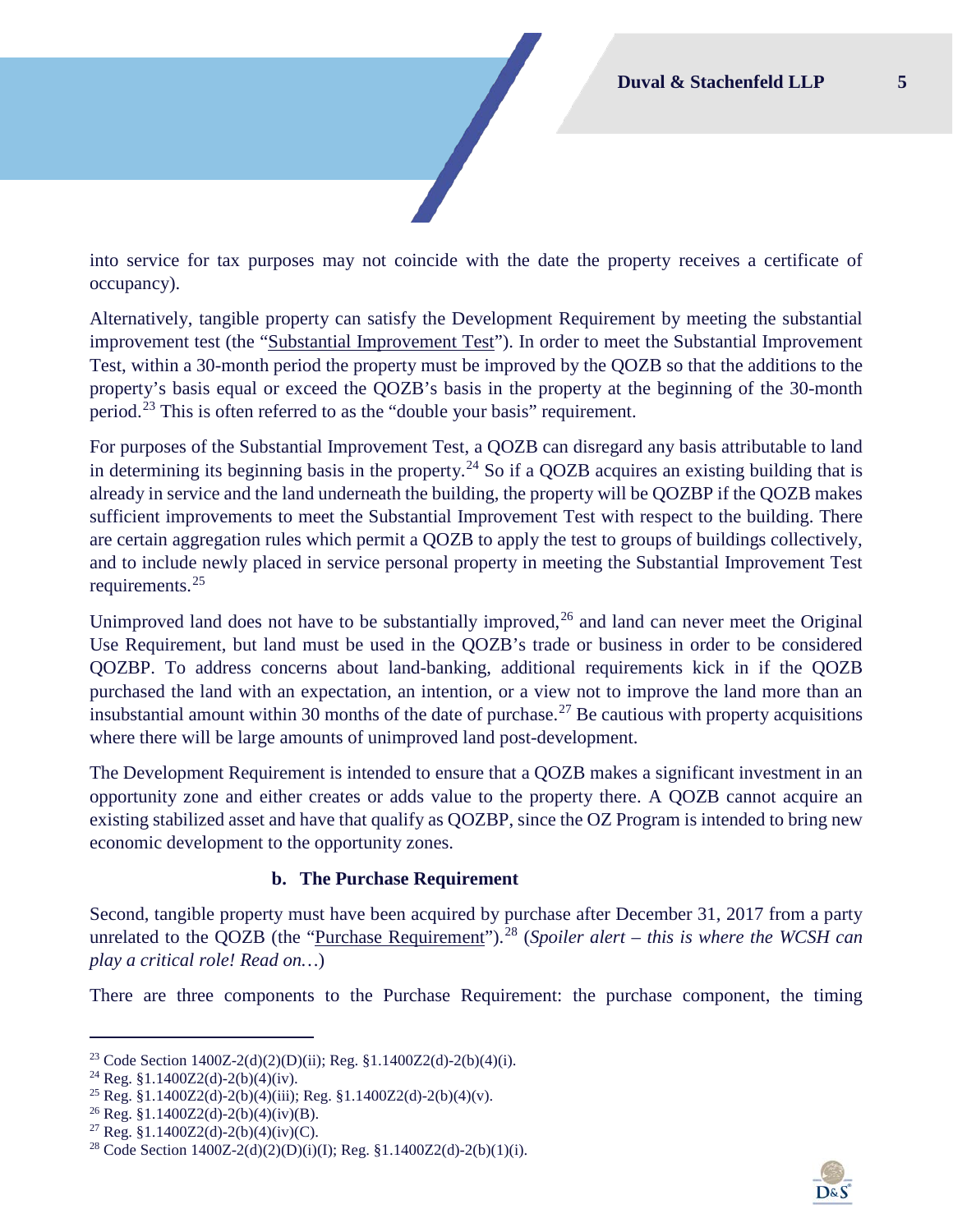into service for tax purposes may not coincide with the date the property receives a certificate of occupancy).

Alternatively, tangible property can satisfy the Development Requirement by meeting the substantial improvement test (the "Substantial Improvement Test"). In order to meet the Substantial Improvement Test, within a 30-month period the property must be improved by the QOZB so that the additions to the property's basis equal or exceed the QOZB's basis in the property at the beginning of the 30-month period.[23](#page-5-0) This is often referred to as the "double your basis" requirement.

For purposes of the Substantial Improvement Test, a QOZB can disregard any basis attributable to land in determining its beginning basis in the property.<sup>[24](#page-5-1)</sup> So if a QOZB acquires an existing building that is already in service and the land underneath the building, the property will be QOZBP if the QOZB makes sufficient improvements to meet the Substantial Improvement Test with respect to the building. There are certain aggregation rules which permit a QOZB to apply the test to groups of buildings collectively, and to include newly placed in service personal property in meeting the Substantial Improvement Test requirements.[25](#page-5-2)

Unimproved land does not have to be substantially improved,  $2<sup>6</sup>$  and land can never meet the Original Use Requirement, but land must be used in the QOZB's trade or business in order to be considered QOZBP. To address concerns about land-banking, additional requirements kick in if the QOZB purchased the land with an expectation, an intention, or a view not to improve the land more than an insubstantial amount within 30 months of the date of purchase.<sup>[27](#page-5-4)</sup> Be cautious with property acquisitions where there will be large amounts of unimproved land post-development.

The Development Requirement is intended to ensure that a QOZB makes a significant investment in an opportunity zone and either creates or adds value to the property there. A QOZB cannot acquire an existing stabilized asset and have that qualify as QOZBP, since the OZ Program is intended to bring new economic development to the opportunity zones.

#### **b. The Purchase Requirement**

Second, tangible property must have been acquired by purchase after December 31, 2017 from a party unrelated to the OOZB (the "Purchase Requirement").<sup>[28](#page-5-5)</sup> (*Spoiler alert – this is where the WCSH can play a critical role! Read on…*)

There are three components to the Purchase Requirement: the purchase component, the timing



<span id="page-5-0"></span><sup>&</sup>lt;sup>23</sup> Code Section 1400Z-2(d)(2)(D)(ii); Reg. §1.1400Z2(d)-2(b)(4)(i).

<span id="page-5-1"></span><sup>&</sup>lt;sup>24</sup> Reg. §1.1400Z2(d)-2(b)(4)(iv).

<span id="page-5-2"></span><sup>&</sup>lt;sup>25</sup> Reg. §1.1400Z2(d)-2(b)(4)(iii); Reg. §1.1400Z2(d)-2(b)(4)(v).<br><sup>26</sup> Reg. §1.1400Z2(d)-2(b)(4)(iv)(B).

<span id="page-5-3"></span>

<span id="page-5-5"></span><span id="page-5-4"></span><sup>&</sup>lt;sup>27</sup> Reg. §1.1400Z2(d)-2(b)(4)(iv)(C).<br><sup>28</sup> Code Section 1400Z-2(d)(2)(D)(i)(I); Reg. §1.1400Z2(d)-2(b)(1)(i).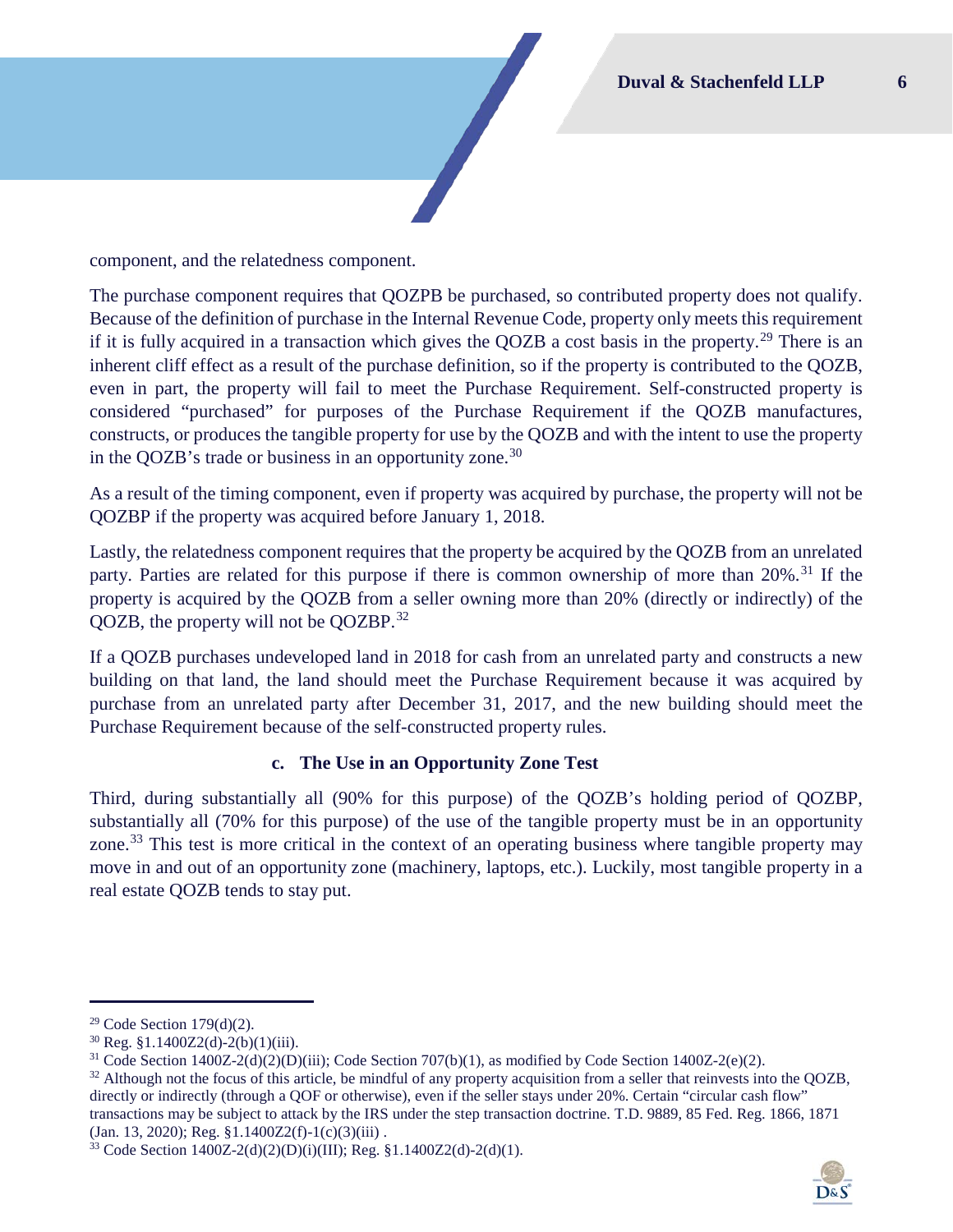component, and the relatedness component.

The purchase component requires that QOZPB be purchased, so contributed property does not qualify. Because of the definition of purchase in the Internal Revenue Code, property only meets this requirement if it is fully acquired in a transaction which gives the QOZB a cost basis in the property.<sup>[29](#page-6-0)</sup> There is an inherent cliff effect as a result of the purchase definition, so if the property is contributed to the QOZB, even in part, the property will fail to meet the Purchase Requirement. Self-constructed property is considered "purchased" for purposes of the Purchase Requirement if the QOZB manufactures, constructs, or produces the tangible property for use by the QOZB and with the intent to use the property in the QOZB's trade or business in an opportunity zone.<sup>[30](#page-6-1)</sup>

As a result of the timing component, even if property was acquired by purchase, the property will not be QOZBP if the property was acquired before January 1, 2018.

Lastly, the relatedness component requires that the property be acquired by the QOZB from an unrelated party. Parties are related for this purpose if there is common ownership of more than 20%.<sup>[31](#page-6-2)</sup> If the property is acquired by the QOZB from a seller owning more than 20% (directly or indirectly) of the QOZB, the property will not be QOZBP.[32](#page-6-3) 

If a QOZB purchases undeveloped land in 2018 for cash from an unrelated party and constructs a new building on that land, the land should meet the Purchase Requirement because it was acquired by purchase from an unrelated party after December 31, 2017, and the new building should meet the Purchase Requirement because of the self-constructed property rules.

#### **c. The Use in an Opportunity Zone Test**

Third, during substantially all (90% for this purpose) of the QOZB's holding period of QOZBP, substantially all (70% for this purpose) of the use of the tangible property must be in an opportunity zone.<sup>[33](#page-6-4)</sup> This test is more critical in the context of an operating business where tangible property may move in and out of an opportunity zone (machinery, laptops, etc.). Luckily, most tangible property in a real estate QOZB tends to stay put.



<span id="page-6-1"></span><span id="page-6-0"></span><sup>&</sup>lt;sup>29</sup> Code Section 179(d)(2).<br><sup>30</sup> Reg. §1.1400Z2(d)-2(b)(1)(iii).<br><sup>31</sup> Code Section 1400Z-2(d)(2)(D)(iii); Code Section 707(b)(1), as modified by Code Section 1400Z-2(e)(2).

<span id="page-6-3"></span><span id="page-6-2"></span><sup>&</sup>lt;sup>32</sup> Although not the focus of this article, be mindful of any property acquisition from a seller that reinvests into the QOZB, directly or indirectly (through a QOF or otherwise), even if the seller stays under 20%. Certain "circular cash flow" transactions may be subject to attack by the IRS under the step transaction doctrine. T.D. 9889, 85 Fed. Reg. 1866, 1871  $(Jan. 13, 2020); Reg. §1.1400Z2(f)-1(c)(3)(iii)$ .

<span id="page-6-4"></span><sup>33</sup> Code Section 1400Z-2(d)(2)(D)(i)(III); Reg. §1.1400Z2(d)-2(d)(1).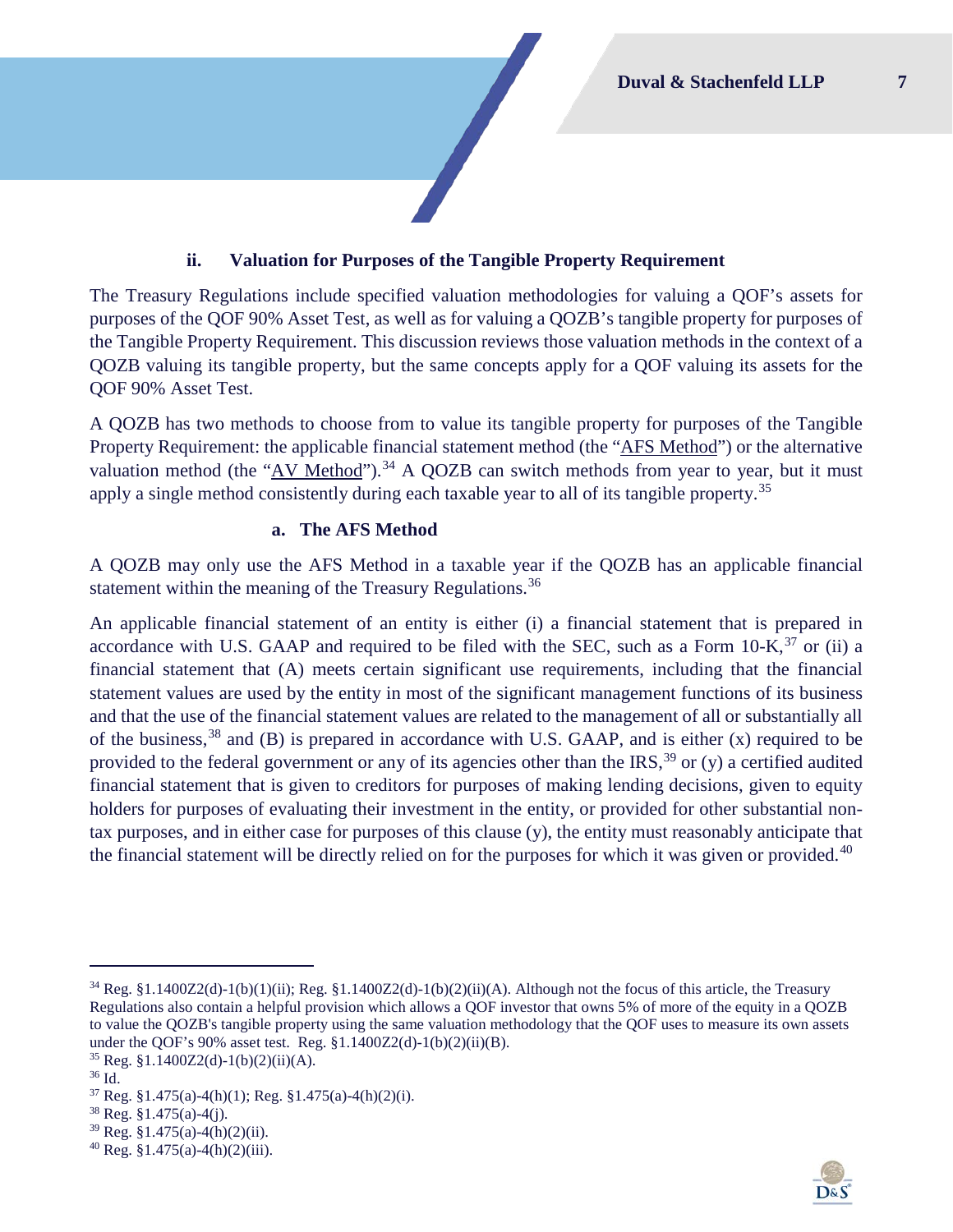#### **ii. Valuation for Purposes of the Tangible Property Requirement**

<span id="page-7-0"></span>The Treasury Regulations include specified valuation methodologies for valuing a QOF's assets for purposes of the QOF 90% Asset Test, as well as for valuing a QOZB's tangible property for purposes of the Tangible Property Requirement. This discussion reviews those valuation methods in the context of a QOZB valuing its tangible property, but the same concepts apply for a QOF valuing its assets for the QOF 90% Asset Test.

A QOZB has two methods to choose from to value its tangible property for purposes of the Tangible Property Requirement: the applicable financial statement method (the "AFS Method") or the alternative valuation method (the "AV Method").<sup>[34](#page-7-1)</sup> A QOZB can switch methods from year to year, but it must apply a single method consistently during each taxable year to all of its tangible property.<sup>[35](#page-7-2)</sup>

#### **a. The AFS Method**

A QOZB may only use the AFS Method in a taxable year if the QOZB has an applicable financial statement within the meaning of the Treasury Regulations.<sup>[36](#page-7-3)</sup>

An applicable financial statement of an entity is either (i) a financial statement that is prepared in accordance with U.S. GAAP and required to be filed with the SEC, such as a Form 10-K,<sup>[37](#page-7-4)</sup> or (ii) a financial statement that (A) meets certain significant use requirements, including that the financial statement values are used by the entity in most of the significant management functions of its business and that the use of the financial statement values are related to the management of all or substantially all of the business,  $38$  and (B) is prepared in accordance with U.S. GAAP, and is either (x) required to be provided to the federal government or any of its agencies other than the IRS,<sup>[39](#page-7-6)</sup> or (y) a certified audited financial statement that is given to creditors for purposes of making lending decisions, given to equity holders for purposes of evaluating their investment in the entity, or provided for other substantial nontax purposes, and in either case for purposes of this clause (y), the entity must reasonably anticipate that the financial statement will be directly relied on for the purposes for which it was given or provided. $40$ 



<span id="page-7-1"></span> $34$  Reg. §1.1400Z2(d)-1(b)(1)(ii); Reg. §1.1400Z2(d)-1(b)(2)(ii)(A). Although not the focus of this article, the Treasury Regulations also contain a helpful provision which allows a QOF investor that owns 5% of more of the equity in a QOZB to value the QOZB's tangible property using the same valuation methodology that the QOF uses to measure its own assets under the QOF's 90% asset test. Reg. §1.1400Z2(d)-1(b)(2)(ii)(B).<br><sup>35</sup> Reg. §1.1400Z2(d)-1(b)(2)(ii)(A).<br><sup>36</sup> Id.

<span id="page-7-3"></span><span id="page-7-2"></span>

<span id="page-7-4"></span> $37$  Reg. §1.475(a)-4(h)(1); Reg. §1.475(a)-4(h)(2)(i).

<span id="page-7-5"></span> $38$  Reg. §1.475(a)-4(j).

<span id="page-7-6"></span> $39$  Reg. §1.475(a)-4(h)(2)(ii).

<span id="page-7-7"></span> $40$  Reg. §1.475(a)-4(h)(2)(iii).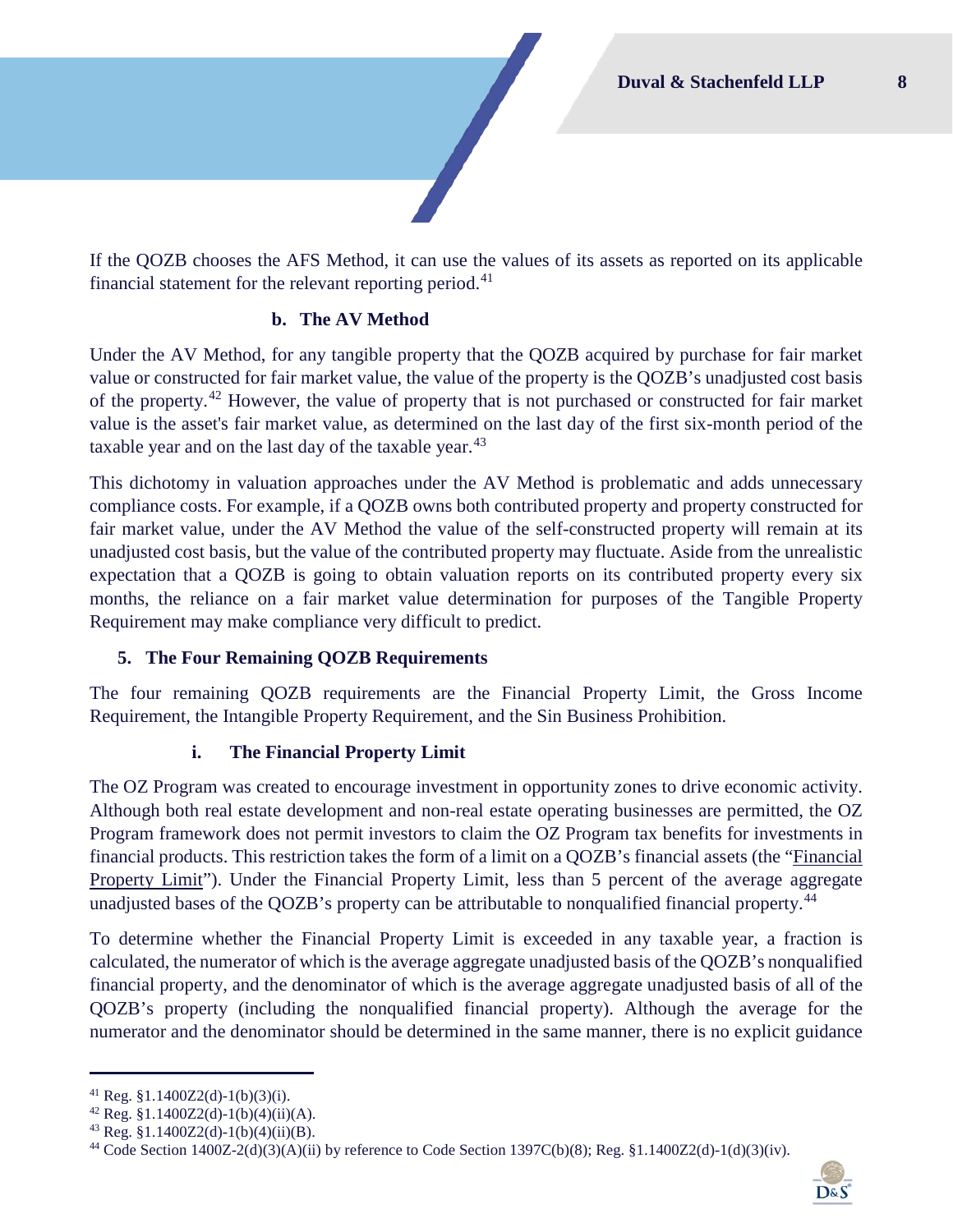If the QOZB chooses the AFS Method, it can use the values of its assets as reported on its applicable financial statement for the relevant reporting period.<sup>[41](#page-8-1)</sup>

#### **b. The AV Method**

Under the AV Method, for any tangible property that the QOZB acquired by purchase for fair market value or constructed for fair market value, the value of the property is the QOZB's unadjusted cost basis of the property.<sup>[42](#page-8-2)</sup> However, the value of property that is not purchased or constructed for fair market value is the asset's fair market value, as determined on the last day of the first six-month period of the taxable year and on the last day of the taxable year. $43$ 

This dichotomy in valuation approaches under the AV Method is problematic and adds unnecessary compliance costs. For example, if a QOZB owns both contributed property and property constructed for fair market value, under the AV Method the value of the self-constructed property will remain at its unadjusted cost basis, but the value of the contributed property may fluctuate. Aside from the unrealistic expectation that a QOZB is going to obtain valuation reports on its contributed property every six months, the reliance on a fair market value determination for purposes of the Tangible Property Requirement may make compliance very difficult to predict.

## <span id="page-8-0"></span>**5. The Four Remaining QOZB Requirements**

The four remaining QOZB requirements are the Financial Property Limit, the Gross Income Requirement, the Intangible Property Requirement, and the Sin Business Prohibition.

## **i. The Financial Property Limit**

The OZ Program was created to encourage investment in opportunity zones to drive economic activity. Although both real estate development and non-real estate operating businesses are permitted, the OZ Program framework does not permit investors to claim the OZ Program tax benefits for investments in financial products. This restriction takes the form of a limit on a QOZB's financial assets (the "Financial Property Limit"). Under the Financial Property Limit, less than 5 percent of the average aggregate unadjusted bases of the QOZB's property can be attributable to nonqualified financial property.<sup>[44](#page-8-4)</sup>

To determine whether the Financial Property Limit is exceeded in any taxable year, a fraction is calculated, the numerator of which is the average aggregate unadjusted basis of the QOZB's nonqualified financial property, and the denominator of which is the average aggregate unadjusted basis of all of the QOZB's property (including the nonqualified financial property). Although the average for the numerator and the denominator should be determined in the same manner, there is no explicit guidance

<span id="page-8-4"></span> $^{44}$  Code Section 1400Z-2(d)(3)(A)(ii) by reference to Code Section 1397C(b)(8); Reg. §1.1400Z2(d)-1(d)(3)(iv).



<span id="page-8-1"></span><sup>&</sup>lt;sup>41</sup> Reg. §1.1400Z2(d)-1(b)(3)(i).<br><sup>42</sup> Reg. §1.1400Z2(d)-1(b)(4)(ii)(A).

<span id="page-8-3"></span><span id="page-8-2"></span> $43$  Reg. §1.1400Z2(d)-1(b)(4)(ii)(B).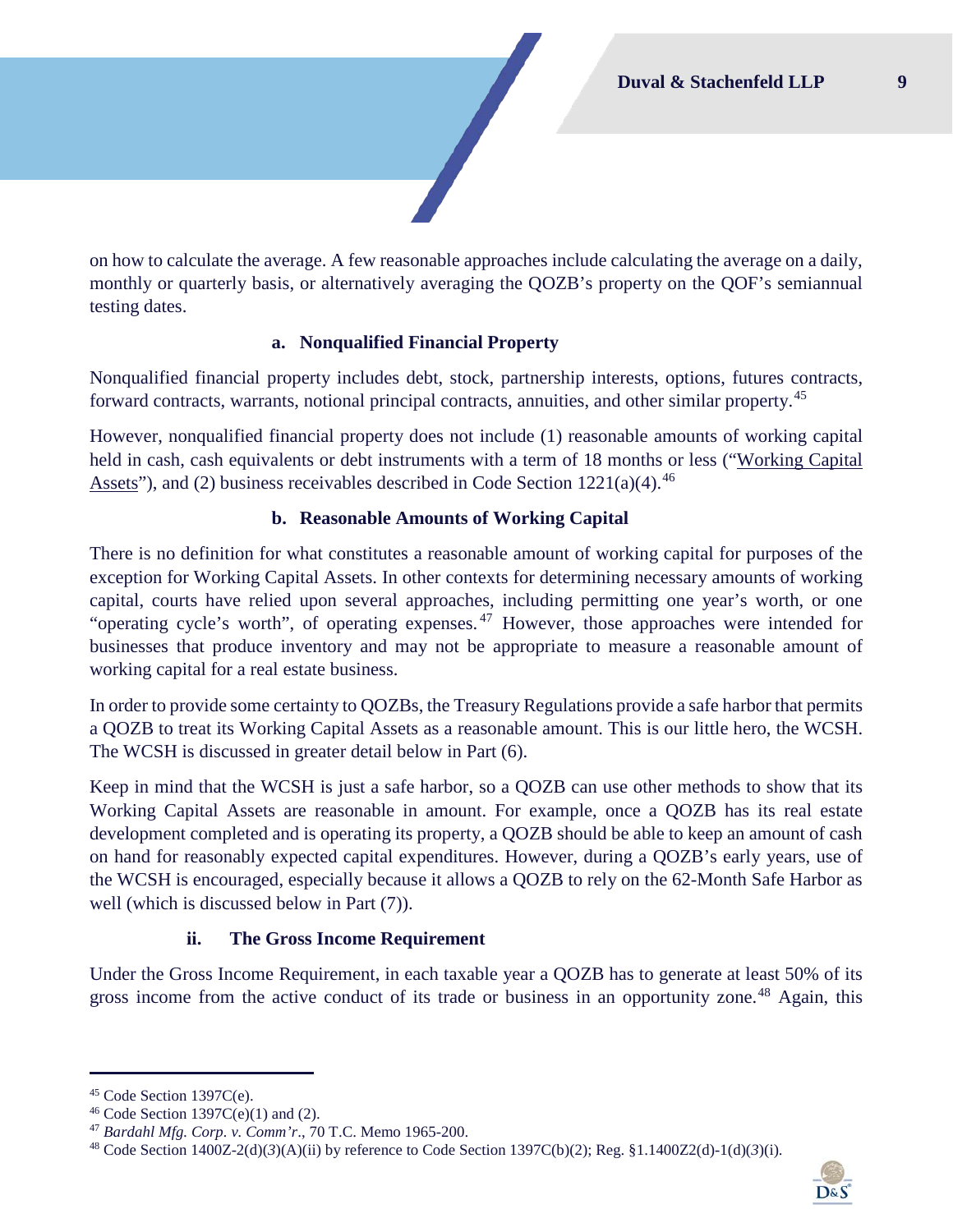on how to calculate the average. A few reasonable approaches include calculating the average on a daily, monthly or quarterly basis, or alternatively averaging the QOZB's property on the QOF's semiannual testing dates.

#### **a. Nonqualified Financial Property**

Nonqualified financial property includes debt, stock, partnership interests, options, futures contracts, forward contracts, warrants, notional principal contracts, annuities, and other similar property.<sup>[45](#page-9-0)</sup>

However, nonqualified financial property does not include (1) reasonable amounts of working capital held in cash, cash equivalents or debt instruments with a term of 18 months or less ("Working Capital Assets"), and (2) business receivables described in Code Section  $1221(a)(4)$ .<sup>[46](#page-9-1)</sup>

#### **b. Reasonable Amounts of Working Capital**

There is no definition for what constitutes a reasonable amount of working capital for purposes of the exception for Working Capital Assets. In other contexts for determining necessary amounts of working capital, courts have relied upon several approaches, including permitting one year's worth, or one "operating cycle's worth", of operating expenses.<sup>[47](#page-9-2)</sup> However, those approaches were intended for businesses that produce inventory and may not be appropriate to measure a reasonable amount of working capital for a real estate business.

In order to provide some certainty to QOZBs, the Treasury Regulations provide a safe harbor that permits a QOZB to treat its Working Capital Assets as a reasonable amount. This is our little hero, the WCSH. The WCSH is discussed in greater detail below in Part [\(6\).](#page-10-0)

Keep in mind that the WCSH is just a safe harbor, so a QOZB can use other methods to show that its Working Capital Assets are reasonable in amount. For example, once a QOZB has its real estate development completed and is operating its property, a QOZB should be able to keep an amount of cash on hand for reasonably expected capital expenditures. However, during a QOZB's early years, use of the WCSH is encouraged, especially because it allows a QOZB to rely on the 62-Month Safe Harbor as well (which is discussed below in Part [\(7\)\)](#page-16-0).

#### **ii. The Gross Income Requirement**

Under the Gross Income Requirement, in each taxable year a QOZB has to generate at least 50% of its gross income from the active conduct of its trade or business in an opportunity zone.<sup>[48](#page-9-3)</sup> Again, this

<span id="page-9-3"></span><span id="page-9-2"></span><sup>48</sup> Code Section 1400Z-2(d)(*3*)(A)(ii) by reference to Code Section 1397C(b)(2); Reg. §1.1400Z2(d)-1(d)(*3*)(i).



<span id="page-9-1"></span>

<span id="page-9-0"></span><sup>45</sup> Code Section 1397C(e).<br><sup>46</sup> Code Section 1397C(e)(1) and (2).<br><sup>47</sup> *Bardahl Mfg. Corp. v. Comm'r.*, 70 T.C. Memo 1965-200.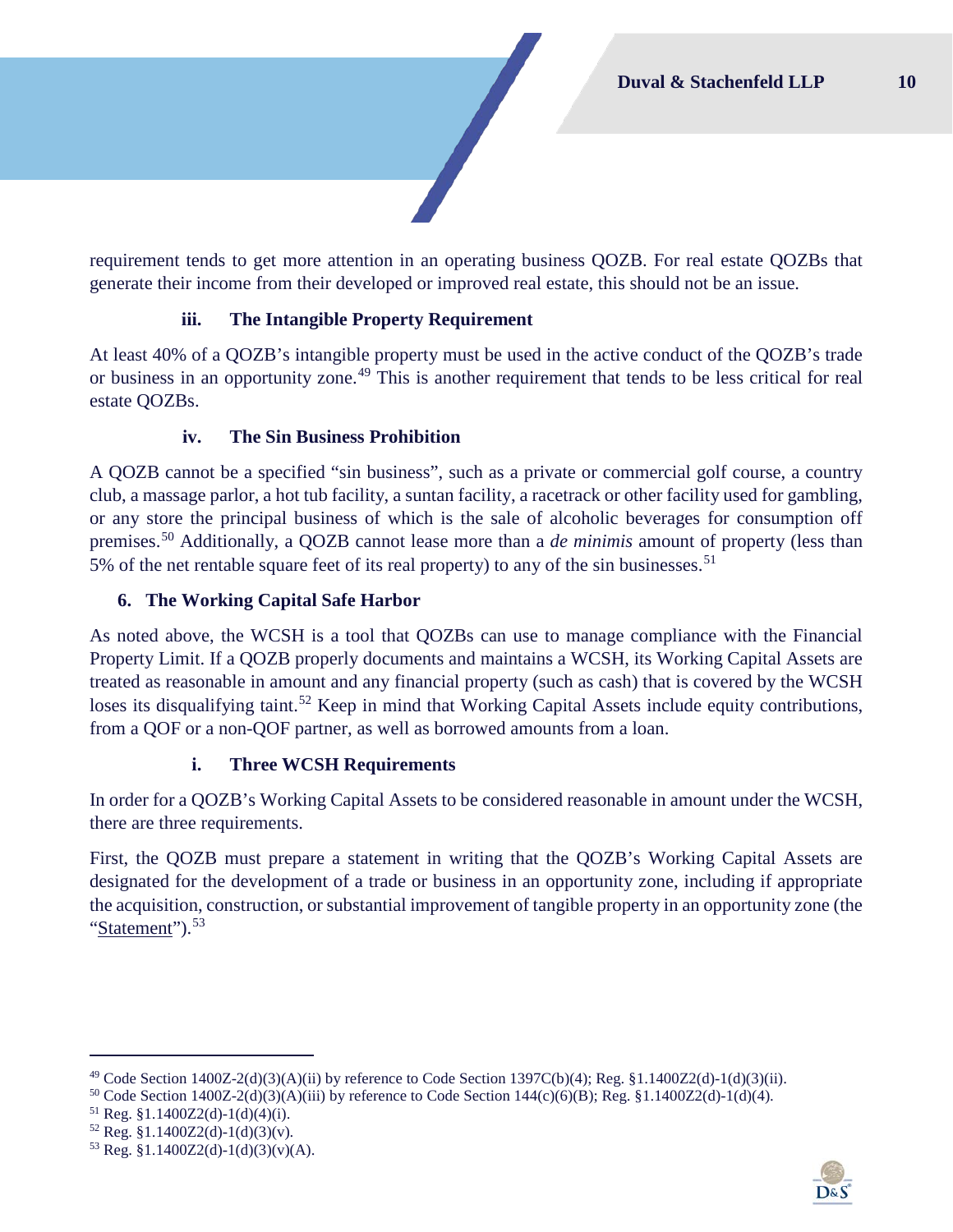requirement tends to get more attention in an operating business QOZB. For real estate QOZBs that generate their income from their developed or improved real estate, this should not be an issue.

## **iii. The Intangible Property Requirement**

At least 40% of a QOZB's intangible property must be used in the active conduct of the QOZB's trade or business in an opportunity zone.<sup>[49](#page-10-1)</sup> This is another requirement that tends to be less critical for real estate QOZBs.

## **iv. The Sin Business Prohibition**

A QOZB cannot be a specified "sin business", such as a private or commercial golf course, a country club, a massage parlor, a hot tub facility, a suntan facility, a racetrack or other facility used for gambling, or any store the principal business of which is the sale of alcoholic beverages for consumption off premises.[50](#page-10-2) Additionally, a QOZB cannot lease more than a *de minimis* amount of property (less than 5% of the net rentable square feet of its real property) to any of the sin businesses.<sup>[51](#page-10-3)</sup>

## <span id="page-10-0"></span>**6. The Working Capital Safe Harbor**

As noted above, the WCSH is a tool that QOZBs can use to manage compliance with the Financial Property Limit. If a QOZB properly documents and maintains a WCSH, its Working Capital Assets are treated as reasonable in amount and any financial property (such as cash) that is covered by the WCSH loses its disqualifying taint.<sup>[52](#page-10-4)</sup> Keep in mind that Working Capital Assets include equity contributions, from a QOF or a non-QOF partner, as well as borrowed amounts from a loan.

## **i. Three WCSH Requirements**

<span id="page-10-6"></span>In order for a QOZB's Working Capital Assets to be considered reasonable in amount under the WCSH, there are three requirements.

First, the QOZB must prepare a statement in writing that the QOZB's Working Capital Assets are designated for the development of a trade or business in an opportunity zone, including if appropriate the acquisition, construction, or substantial improvement of tangible property in an opportunity zone (the "Statement").<sup>[53](#page-10-5)</sup>



<span id="page-10-1"></span> $^{49}$  Code Section 1400Z-2(d)(3)(A)(ii) by reference to Code Section 1397C(b)(4); Reg. §1.1400Z2(d)-1(d)(3)(ii).

<span id="page-10-2"></span><sup>&</sup>lt;sup>50</sup> Code Section 1400Z-2(d)(3)(A)(iii) by reference to Code Section 144(c)(6)(B); Reg. §1.1400Z2(d)-1(d)(4).<br><sup>51</sup> Reg. §1.1400Z2(d)-1(d)(4)(i).

<span id="page-10-4"></span><span id="page-10-3"></span> $52$  Reg. §1.1400Z2(d)-1(d)(3)(v).

<span id="page-10-5"></span> $53$  Reg. §1.1400Z2(d)-1(d)(3)(v)(A).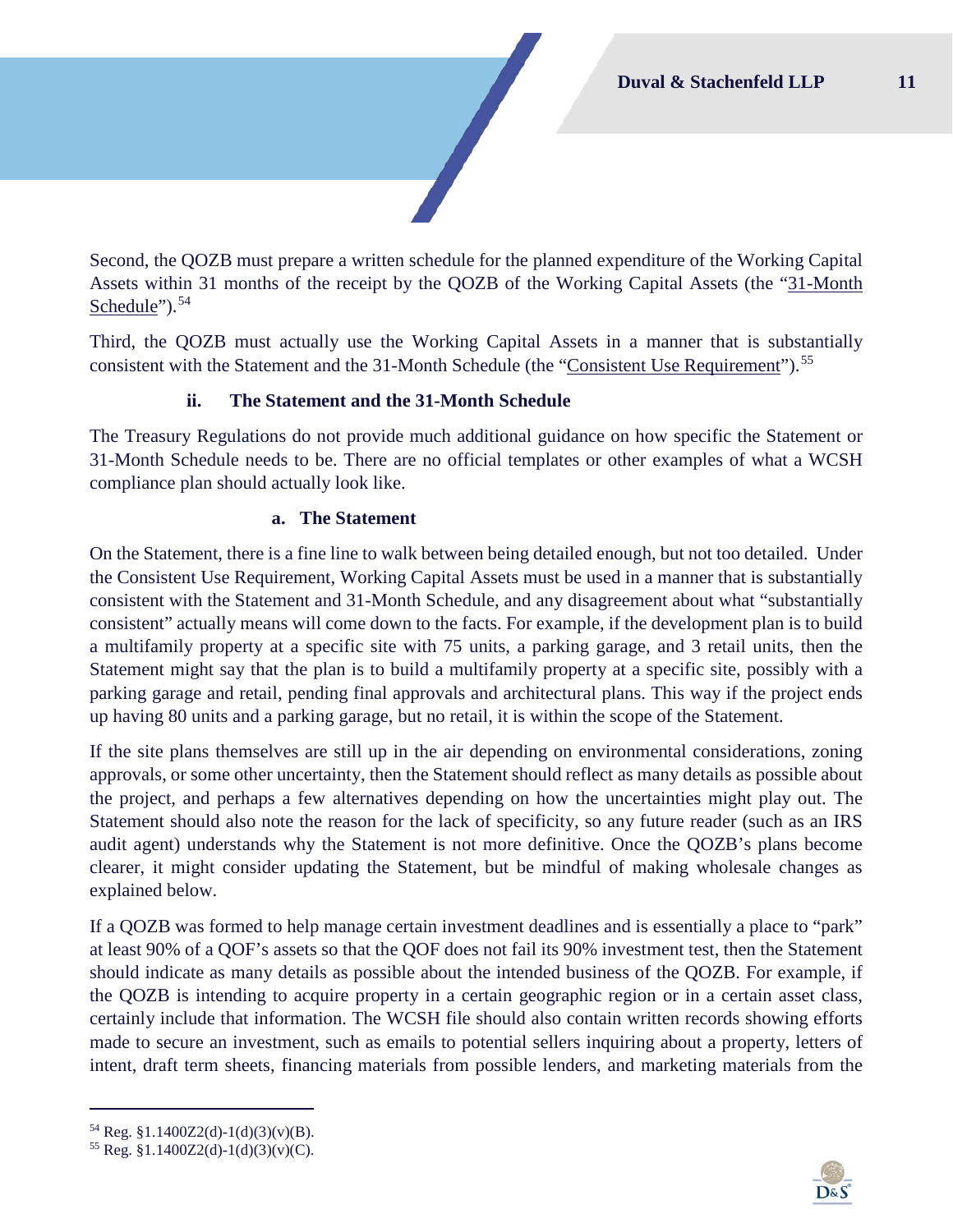Second, the QOZB must prepare a written schedule for the planned expenditure of the Working Capital Assets within 31 months of the receipt by the QOZB of the Working Capital Assets (the "31-Month Schedule").<sup>[54](#page-11-0)</sup>

Third, the QOZB must actually use the Working Capital Assets in a manner that is substantially consistent with the Statement and the 31-Month Schedule (the "Consistent Use Requirement").<sup>[55](#page-11-1)</sup>

## **ii. The Statement and the 31-Month Schedule**

The Treasury Regulations do not provide much additional guidance on how specific the Statement or 31-Month Schedule needs to be. There are no official templates or other examples of what a WCSH compliance plan should actually look like.

## **a. The Statement**

On the Statement, there is a fine line to walk between being detailed enough, but not too detailed. Under the Consistent Use Requirement, Working Capital Assets must be used in a manner that is substantially consistent with the Statement and 31-Month Schedule, and any disagreement about what "substantially consistent" actually means will come down to the facts. For example, if the development plan is to build a multifamily property at a specific site with 75 units, a parking garage, and 3 retail units, then the Statement might say that the plan is to build a multifamily property at a specific site, possibly with a parking garage and retail, pending final approvals and architectural plans. This way if the project ends up having 80 units and a parking garage, but no retail, it is within the scope of the Statement.

If the site plans themselves are still up in the air depending on environmental considerations, zoning approvals, or some other uncertainty, then the Statement should reflect as many details as possible about the project, and perhaps a few alternatives depending on how the uncertainties might play out. The Statement should also note the reason for the lack of specificity, so any future reader (such as an IRS audit agent) understands why the Statement is not more definitive. Once the QOZB's plans become clearer, it might consider updating the Statement, but be mindful of making wholesale changes as explained below.

If a QOZB was formed to help manage certain investment deadlines and is essentially a place to "park" at least 90% of a QOF's assets so that the QOF does not fail its 90% investment test, then the Statement should indicate as many details as possible about the intended business of the QOZB. For example, if the QOZB is intending to acquire property in a certain geographic region or in a certain asset class, certainly include that information. The WCSH file should also contain written records showing efforts made to secure an investment, such as emails to potential sellers inquiring about a property, letters of intent, draft term sheets, financing materials from possible lenders, and marketing materials from the



<span id="page-11-0"></span> $54$  Reg. §1.1400Z2(d)-1(d)(3)(v)(B).

<span id="page-11-1"></span> $55$  Reg. §1.1400Z2(d)-1(d)(3)(y)(C).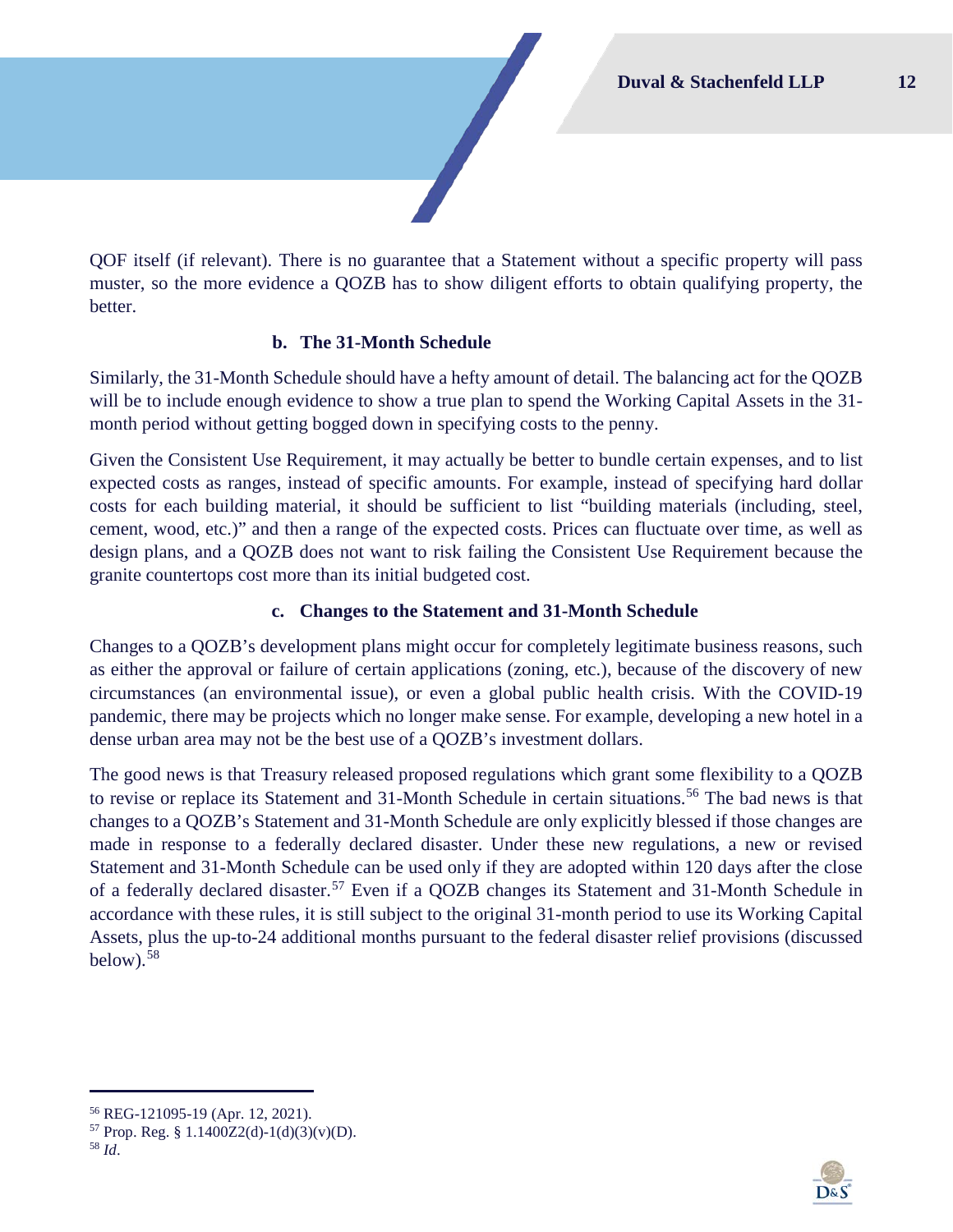QOF itself (if relevant). There is no guarantee that a Statement without a specific property will pass muster, so the more evidence a QOZB has to show diligent efforts to obtain qualifying property, the better.

## **b. The 31-Month Schedule**

Similarly, the 31-Month Schedule should have a hefty amount of detail. The balancing act for the QOZB will be to include enough evidence to show a true plan to spend the Working Capital Assets in the 31month period without getting bogged down in specifying costs to the penny.

Given the Consistent Use Requirement, it may actually be better to bundle certain expenses, and to list expected costs as ranges, instead of specific amounts. For example, instead of specifying hard dollar costs for each building material, it should be sufficient to list "building materials (including, steel, cement, wood, etc.)" and then a range of the expected costs. Prices can fluctuate over time, as well as design plans, and a QOZB does not want to risk failing the Consistent Use Requirement because the granite countertops cost more than its initial budgeted cost.

## **c. Changes to the Statement and 31-Month Schedule**

Changes to a QOZB's development plans might occur for completely legitimate business reasons, such as either the approval or failure of certain applications (zoning, etc.), because of the discovery of new circumstances (an environmental issue), or even a global public health crisis. With the COVID-19 pandemic, there may be projects which no longer make sense. For example, developing a new hotel in a dense urban area may not be the best use of a QOZB's investment dollars.

The good news is that Treasury released proposed regulations which grant some flexibility to a QOZB to revise or replace its Statement and 31-Month Schedule in certain situations.<sup>[56](#page-12-0)</sup> The bad news is that changes to a QOZB's Statement and 31-Month Schedule are only explicitly blessed if those changes are made in response to a federally declared disaster. Under these new regulations, a new or revised Statement and 31-Month Schedule can be used only if they are adopted within 120 days after the close of a federally declared disaster.<sup>[57](#page-12-1)</sup> Even if a QOZB changes its Statement and 31-Month Schedule in accordance with these rules, it is still subject to the original 31-month period to use its Working Capital Assets, plus the up-to-24 additional months pursuant to the federal disaster relief provisions (discussed below). $58$ 



<span id="page-12-2"></span>

<span id="page-12-1"></span><span id="page-12-0"></span><sup>56</sup> REG-121095-19 (Apr. 12, 2021). 57 Prop. Reg. § 1.1400Z2(d)-1(d)(3)(v)(D). 58 *Id*.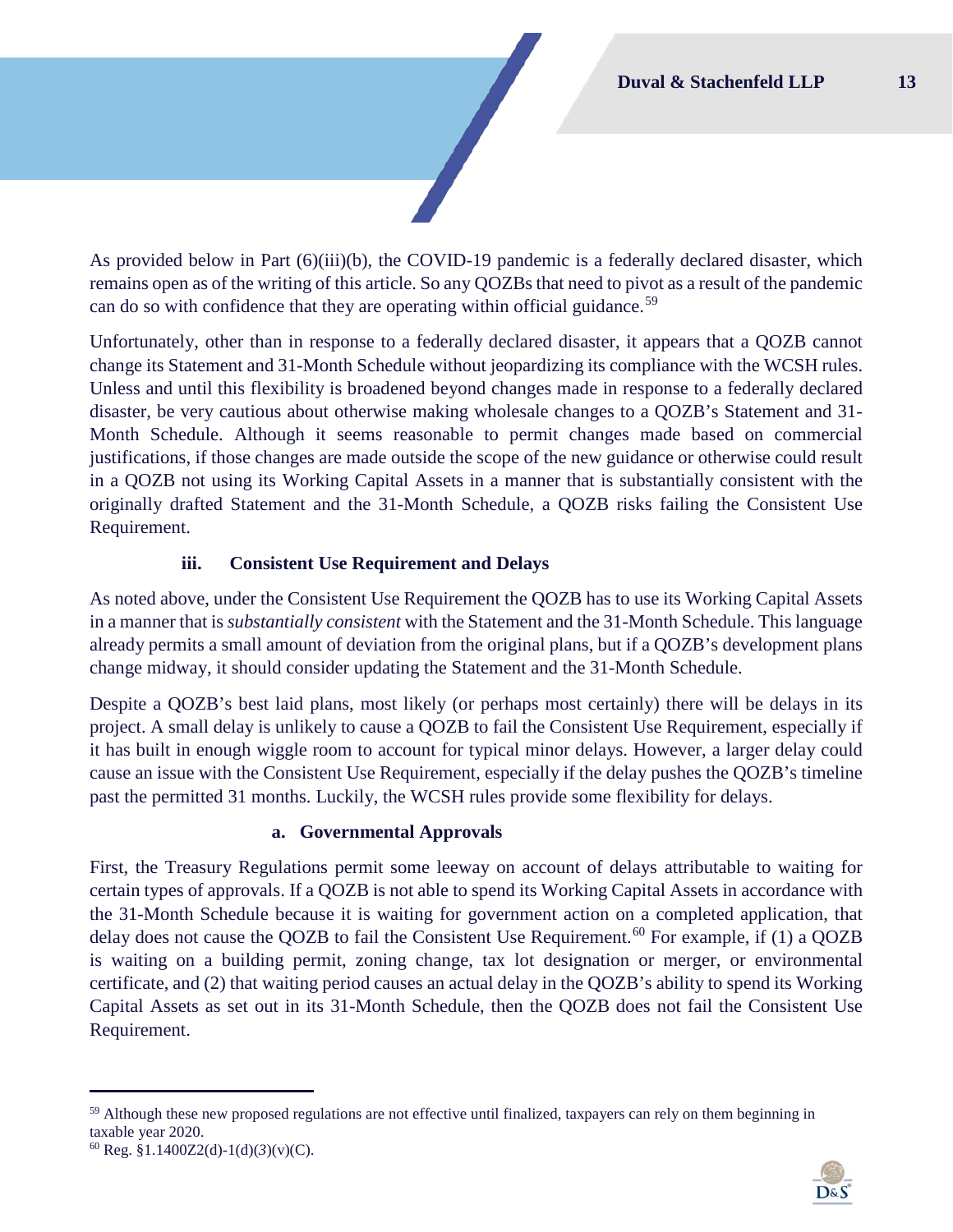As provided below in Part (6)(iii)[\(b\)](#page-14-0), the COVID-19 pandemic is a federally declared disaster, which remains open as of the writing of this article. So any QOZBs that need to pivot as a result of the pandemic can do so with confidence that they are operating within official guidance.<sup>[59](#page-13-0)</sup>

Unfortunately, other than in response to a federally declared disaster, it appears that a QOZB cannot change its Statement and 31-Month Schedule without jeopardizing its compliance with the WCSH rules. Unless and until this flexibility is broadened beyond changes made in response to a federally declared disaster, be very cautious about otherwise making wholesale changes to a QOZB's Statement and 31- Month Schedule. Although it seems reasonable to permit changes made based on commercial justifications, if those changes are made outside the scope of the new guidance or otherwise could result in a QOZB not using its Working Capital Assets in a manner that is substantially consistent with the originally drafted Statement and the 31-Month Schedule, a QOZB risks failing the Consistent Use Requirement.

## **iii. Consistent Use Requirement and Delays**

As noted above, under the Consistent Use Requirement the QOZB has to use its Working Capital Assets in a manner that is *substantially consistent* with the Statement and the 31-Month Schedule. This language already permits a small amount of deviation from the original plans, but if a QOZB's development plans change midway, it should consider updating the Statement and the 31-Month Schedule.

Despite a QOZB's best laid plans, most likely (or perhaps most certainly) there will be delays in its project. A small delay is unlikely to cause a QOZB to fail the Consistent Use Requirement, especially if it has built in enough wiggle room to account for typical minor delays. However, a larger delay could cause an issue with the Consistent Use Requirement, especially if the delay pushes the QOZB's timeline past the permitted 31 months. Luckily, the WCSH rules provide some flexibility for delays.

#### **a. Governmental Approvals**

First, the Treasury Regulations permit some leeway on account of delays attributable to waiting for certain types of approvals. If a QOZB is not able to spend its Working Capital Assets in accordance with the 31-Month Schedule because it is waiting for government action on a completed application, that delay does not cause the QOZB to fail the Consistent Use Requirement.<sup>[60](#page-13-1)</sup> For example, if (1) a QOZB is waiting on a building permit, zoning change, tax lot designation or merger, or environmental certificate, and (2) that waiting period causes an actual delay in the QOZB's ability to spend its Working Capital Assets as set out in its 31-Month Schedule, then the QOZB does not fail the Consistent Use Requirement.



<span id="page-13-0"></span><sup>&</sup>lt;sup>59</sup> Although these new proposed regulations are not effective until finalized, taxpayers can rely on them beginning in taxable year 2020.

<span id="page-13-1"></span> $^{60}$  Reg. §1.1400Z2(d)-1(d)(3)(v)(C).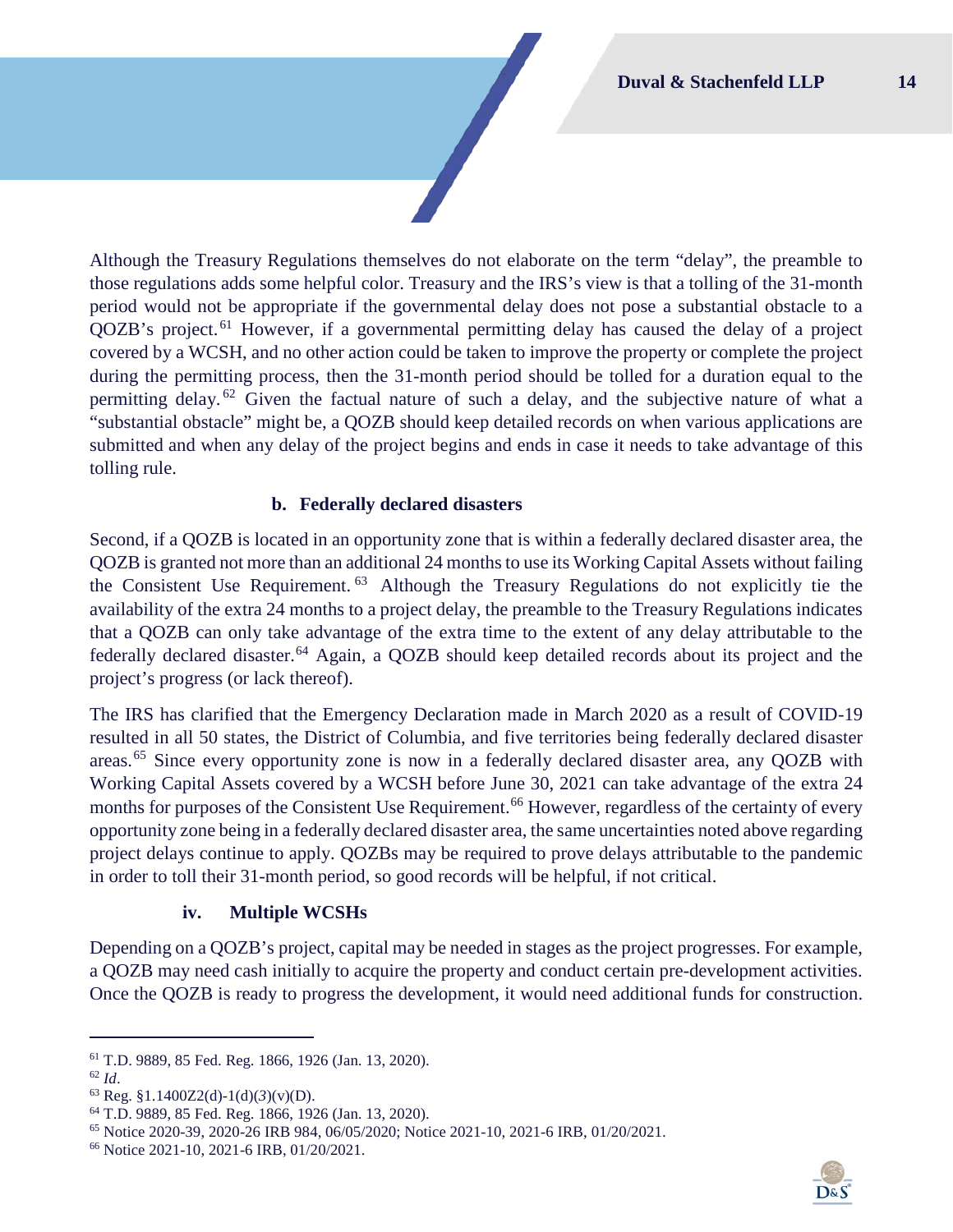Although the Treasury Regulations themselves do not elaborate on the term "delay", the preamble to those regulations adds some helpful color. Treasury and the IRS's view is that a tolling of the 31-month period would not be appropriate if the governmental delay does not pose a substantial obstacle to a QOZB's project. [61](#page-14-1) However, if a governmental permitting delay has caused the delay of a project covered by a WCSH, and no other action could be taken to improve the property or complete the project during the permitting process, then the 31-month period should be tolled for a duration equal to the permitting delay.  $62$  Given the factual nature of such a delay, and the subjective nature of what a "substantial obstacle" might be, a QOZB should keep detailed records on when various applications are submitted and when any delay of the project begins and ends in case it needs to take advantage of this tolling rule.

## **b. Federally declared disasters**

<span id="page-14-0"></span>Second, if a QOZB is located in an opportunity zone that is within a federally declared disaster area, the QOZB is granted not more than an additional 24 months to use its Working Capital Assets without failing the Consistent Use Requirement. [63](#page-14-3) Although the Treasury Regulations do not explicitly tie the availability of the extra 24 months to a project delay, the preamble to the Treasury Regulations indicates that a QOZB can only take advantage of the extra time to the extent of any delay attributable to the federally declared disaster.<sup>[64](#page-14-4)</sup> Again, a QOZB should keep detailed records about its project and the project's progress (or lack thereof).

The IRS has clarified that the Emergency Declaration made in March 2020 as a result of COVID-19 resulted in all 50 states, the District of Columbia, and five territories being federally declared disaster areas.[65](#page-14-5) Since every opportunity zone is now in a federally declared disaster area, any QOZB with Working Capital Assets covered by a WCSH before June 30, 2021 can take advantage of the extra 24 months for purposes of the Consistent Use Requirement.<sup>[66](#page-14-6)</sup> However, regardless of the certainty of every opportunity zone being in a federally declared disaster area, the same uncertainties noted above regarding project delays continue to apply. QOZBs may be required to prove delays attributable to the pandemic in order to toll their 31-month period, so good records will be helpful, if not critical.

#### **iv. Multiple WCSHs**

Depending on a QOZB's project, capital may be needed in stages as the project progresses. For example, a QOZB may need cash initially to acquire the property and conduct certain pre-development activities. Once the QOZB is ready to progress the development, it would need additional funds for construction.



<span id="page-14-1"></span><sup>61</sup> T.D. 9889, 85 Fed. Reg. 1866, 1926 (Jan. 13, 2020).<br>
<sup>62</sup> *Id.* <sup>63</sup> Reg. §1.1400Z2(d)-1(d)(3)(v)(D).

<span id="page-14-2"></span>

<span id="page-14-4"></span><span id="page-14-3"></span><sup>64</sup> T.D. 9889, 85 Fed. Reg. 1866, 1926 (Jan. 13, 2020).

<span id="page-14-5"></span><sup>&</sup>lt;sup>65</sup> Notice 2020-39, 2020-26 IRB 984, 06/05/2020; Notice 2021-10, 2021-6 IRB, 01/20/2021.<br><sup>66</sup> Notice 2021-10, 2021-6 IRB, 01/20/2021.

<span id="page-14-6"></span>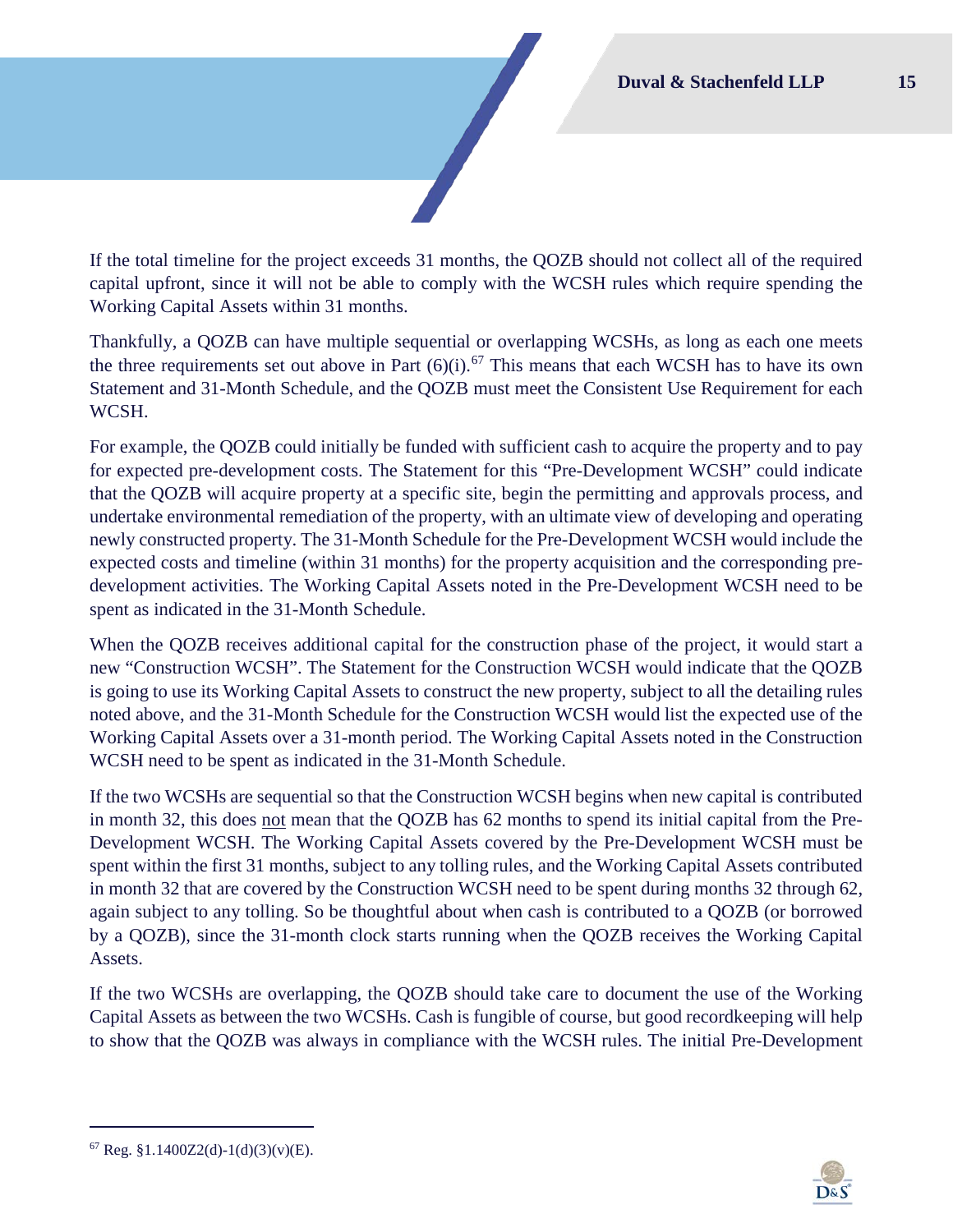If the total timeline for the project exceeds 31 months, the QOZB should not collect all of the required capital upfront, since it will not be able to comply with the WCSH rules which require spending the Working Capital Assets within 31 months.

Thankfully, a QOZB can have multiple sequential or overlapping WCSHs, as long as each one meets the three requirements set out above in Part  $(6)(i)$ .<sup>[67](#page-15-0)</sup> This means that each WCSH has to have its own Statement and 31-Month Schedule, and the QOZB must meet the Consistent Use Requirement for each WCSH.

For example, the QOZB could initially be funded with sufficient cash to acquire the property and to pay for expected pre-development costs. The Statement for this "Pre-Development WCSH" could indicate that the QOZB will acquire property at a specific site, begin the permitting and approvals process, and undertake environmental remediation of the property, with an ultimate view of developing and operating newly constructed property. The 31-Month Schedule for the Pre-Development WCSH would include the expected costs and timeline (within 31 months) for the property acquisition and the corresponding predevelopment activities. The Working Capital Assets noted in the Pre-Development WCSH need to be spent as indicated in the 31-Month Schedule.

When the QOZB receives additional capital for the construction phase of the project, it would start a new "Construction WCSH". The Statement for the Construction WCSH would indicate that the QOZB is going to use its Working Capital Assets to construct the new property, subject to all the detailing rules noted above, and the 31-Month Schedule for the Construction WCSH would list the expected use of the Working Capital Assets over a 31-month period. The Working Capital Assets noted in the Construction WCSH need to be spent as indicated in the 31-Month Schedule.

If the two WCSHs are sequential so that the Construction WCSH begins when new capital is contributed in month 32, this does not mean that the QOZB has 62 months to spend its initial capital from the Pre-Development WCSH. The Working Capital Assets covered by the Pre-Development WCSH must be spent within the first 31 months, subject to any tolling rules, and the Working Capital Assets contributed in month 32 that are covered by the Construction WCSH need to be spent during months 32 through 62, again subject to any tolling. So be thoughtful about when cash is contributed to a QOZB (or borrowed by a QOZB), since the 31-month clock starts running when the QOZB receives the Working Capital Assets.

If the two WCSHs are overlapping, the QOZB should take care to document the use of the Working Capital Assets as between the two WCSHs. Cash is fungible of course, but good recordkeeping will help to show that the QOZB was always in compliance with the WCSH rules. The initial Pre-Development



<span id="page-15-0"></span> $67$  Reg. §1.1400Z2(d)-1(d)(3)(v)(E).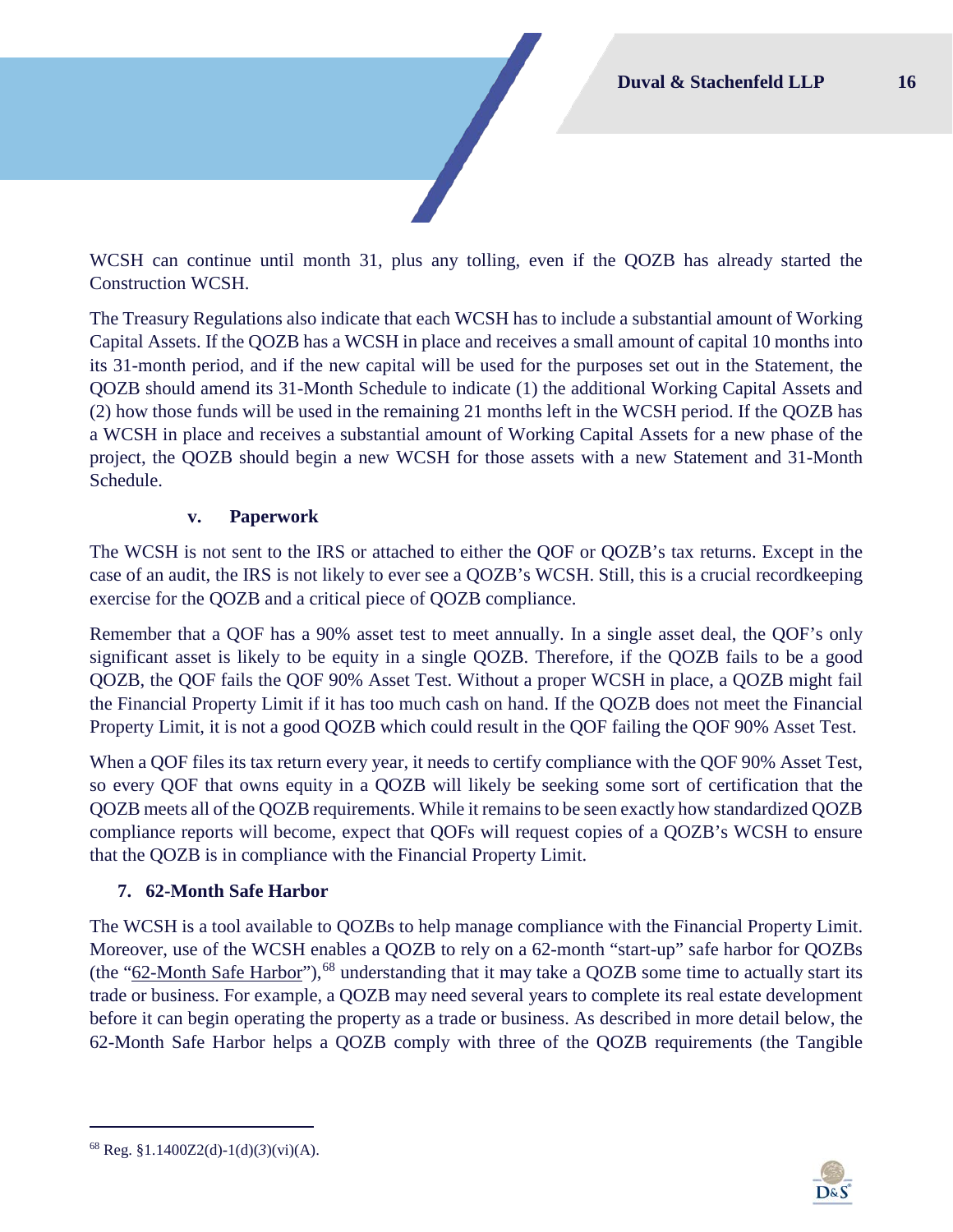WCSH can continue until month 31, plus any tolling, even if the QOZB has already started the Construction WCSH.

The Treasury Regulations also indicate that each WCSH has to include a substantial amount of Working Capital Assets. If the QOZB has a WCSH in place and receives a small amount of capital 10 months into its 31-month period, and if the new capital will be used for the purposes set out in the Statement, the QOZB should amend its 31-Month Schedule to indicate (1) the additional Working Capital Assets and (2) how those funds will be used in the remaining 21 months left in the WCSH period. If the QOZB has a WCSH in place and receives a substantial amount of Working Capital Assets for a new phase of the project, the QOZB should begin a new WCSH for those assets with a new Statement and 31-Month Schedule.

#### **v. Paperwork**

The WCSH is not sent to the IRS or attached to either the QOF or QOZB's tax returns. Except in the case of an audit, the IRS is not likely to ever see a QOZB's WCSH. Still, this is a crucial recordkeeping exercise for the QOZB and a critical piece of QOZB compliance.

Remember that a QOF has a 90% asset test to meet annually. In a single asset deal, the QOF's only significant asset is likely to be equity in a single QOZB. Therefore, if the QOZB fails to be a good QOZB, the QOF fails the QOF 90% Asset Test. Without a proper WCSH in place, a QOZB might fail the Financial Property Limit if it has too much cash on hand. If the QOZB does not meet the Financial Property Limit, it is not a good QOZB which could result in the QOF failing the QOF 90% Asset Test.

When a QOF files its tax return every year, it needs to certify compliance with the QOF 90% Asset Test, so every QOF that owns equity in a QOZB will likely be seeking some sort of certification that the QOZB meets all of the QOZB requirements. While it remains to be seen exactly how standardized QOZB compliance reports will become, expect that QOFs will request copies of a QOZB's WCSH to ensure that the QOZB is in compliance with the Financial Property Limit.

## <span id="page-16-0"></span>**7. 62-Month Safe Harbor**

The WCSH is a tool available to QOZBs to help manage compliance with the Financial Property Limit. Moreover, use of the WCSH enables a QOZB to rely on a 62-month "start-up" safe harbor for QOZBs (the "62-Month Safe Harbor"),<sup>[68](#page-16-1)</sup> understanding that it may take a QOZB some time to actually start its trade or business. For example, a QOZB may need several years to complete its real estate development before it can begin operating the property as a trade or business. As described in more detail below, the 62-Month Safe Harbor helps a QOZB comply with three of the QOZB requirements (the Tangible



<span id="page-16-1"></span> $^{68}$  Reg. §1.1400Z2(d)-1(d)(3)(vi)(A).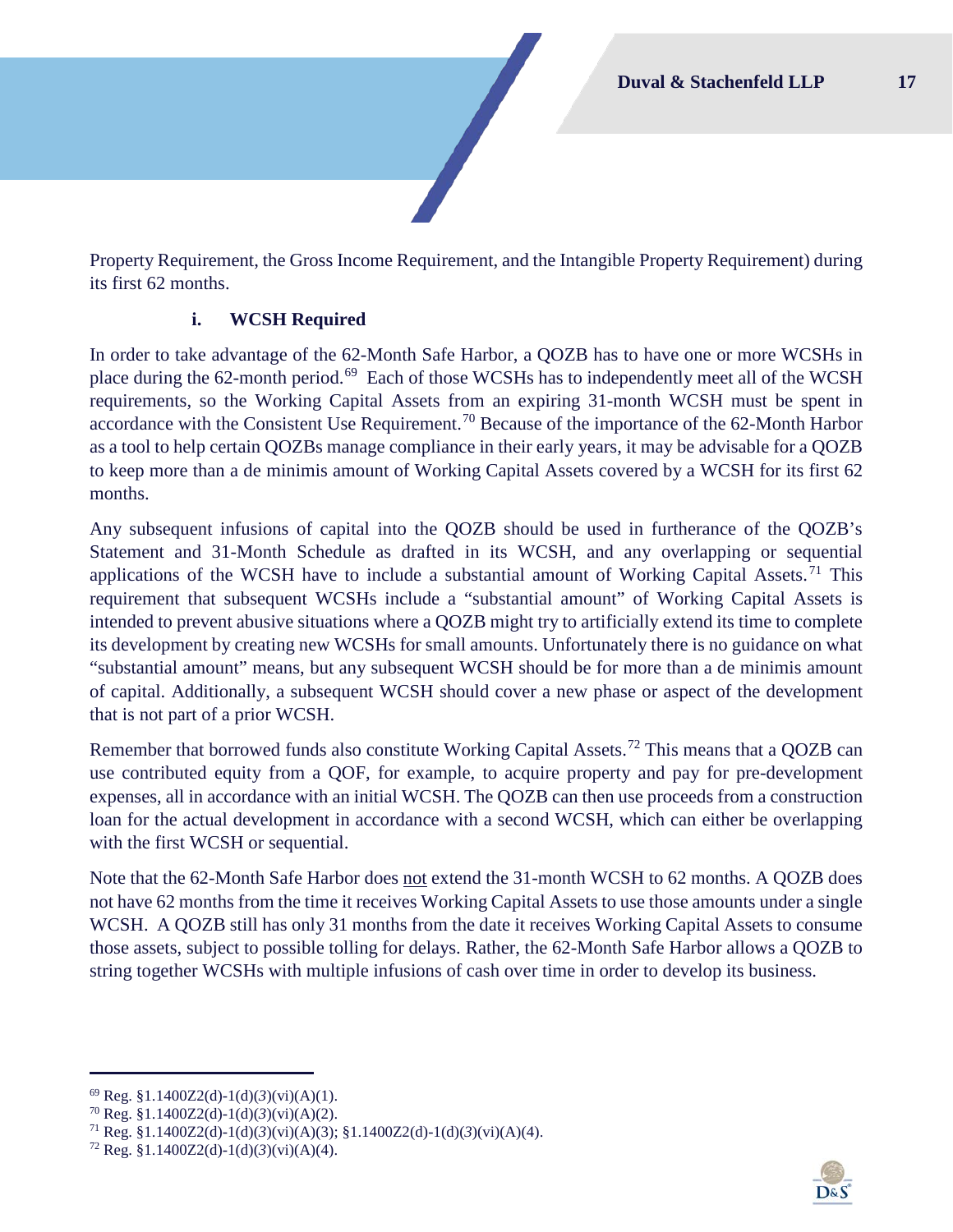Property Requirement, the Gross Income Requirement, and the Intangible Property Requirement) during its first 62 months.

## **i. WCSH Required**

In order to take advantage of the 62-Month Safe Harbor, a QOZB has to have one or more WCSHs in place during the 62-month period.<sup>69</sup> Each of those WCSHs has to independently meet all of the WCSH requirements, so the Working Capital Assets from an expiring 31-month WCSH must be spent in accordance with the Consistent Use Requirement.<sup>[70](#page-17-1)</sup> Because of the importance of the 62-Month Harbor as a tool to help certain QOZBs manage compliance in their early years, it may be advisable for a QOZB to keep more than a de minimis amount of Working Capital Assets covered by a WCSH for its first 62 months.

Any subsequent infusions of capital into the QOZB should be used in furtherance of the QOZB's Statement and 31-Month Schedule as drafted in its WCSH, and any overlapping or sequential applications of the WCSH have to include a substantial amount of Working Capital Assets.<sup>[71](#page-17-2)</sup> This requirement that subsequent WCSHs include a "substantial amount" of Working Capital Assets is intended to prevent abusive situations where a QOZB might try to artificially extend its time to complete its development by creating new WCSHs for small amounts. Unfortunately there is no guidance on what "substantial amount" means, but any subsequent WCSH should be for more than a de minimis amount of capital. Additionally, a subsequent WCSH should cover a new phase or aspect of the development that is not part of a prior WCSH.

Remember that borrowed funds also constitute Working Capital Assets.<sup>[72](#page-17-3)</sup> This means that a QOZB can use contributed equity from a QOF, for example, to acquire property and pay for pre-development expenses, all in accordance with an initial WCSH. The QOZB can then use proceeds from a construction loan for the actual development in accordance with a second WCSH, which can either be overlapping with the first WCSH or sequential.

Note that the 62-Month Safe Harbor does not extend the 31-month WCSH to 62 months. A QOZB does not have 62 months from the time it receives Working Capital Assets to use those amounts under a single WCSH. A QOZB still has only 31 months from the date it receives Working Capital Assets to consume those assets, subject to possible tolling for delays. Rather, the 62-Month Safe Harbor allows a QOZB to string together WCSHs with multiple infusions of cash over time in order to develop its business.



<span id="page-17-0"></span><sup>69</sup> Reg. §1.1400Z2(d)-1(d)(*3*)(vi)(A)(1). 70 Reg. §1.1400Z2(d)-1(d)(*3*)(vi)(A)(2).

<span id="page-17-2"></span><span id="page-17-1"></span><sup>71</sup> Reg. §1.1400Z2(d)-1(d)(*3*)(vi)(A)(3); §1.1400Z2(d)-1(d)(*3*)(vi)(A)(4).

<span id="page-17-3"></span><sup>&</sup>lt;sup>72</sup> Reg. §1.1400Z2(d)-1(d)(3)(vi)(A)(4).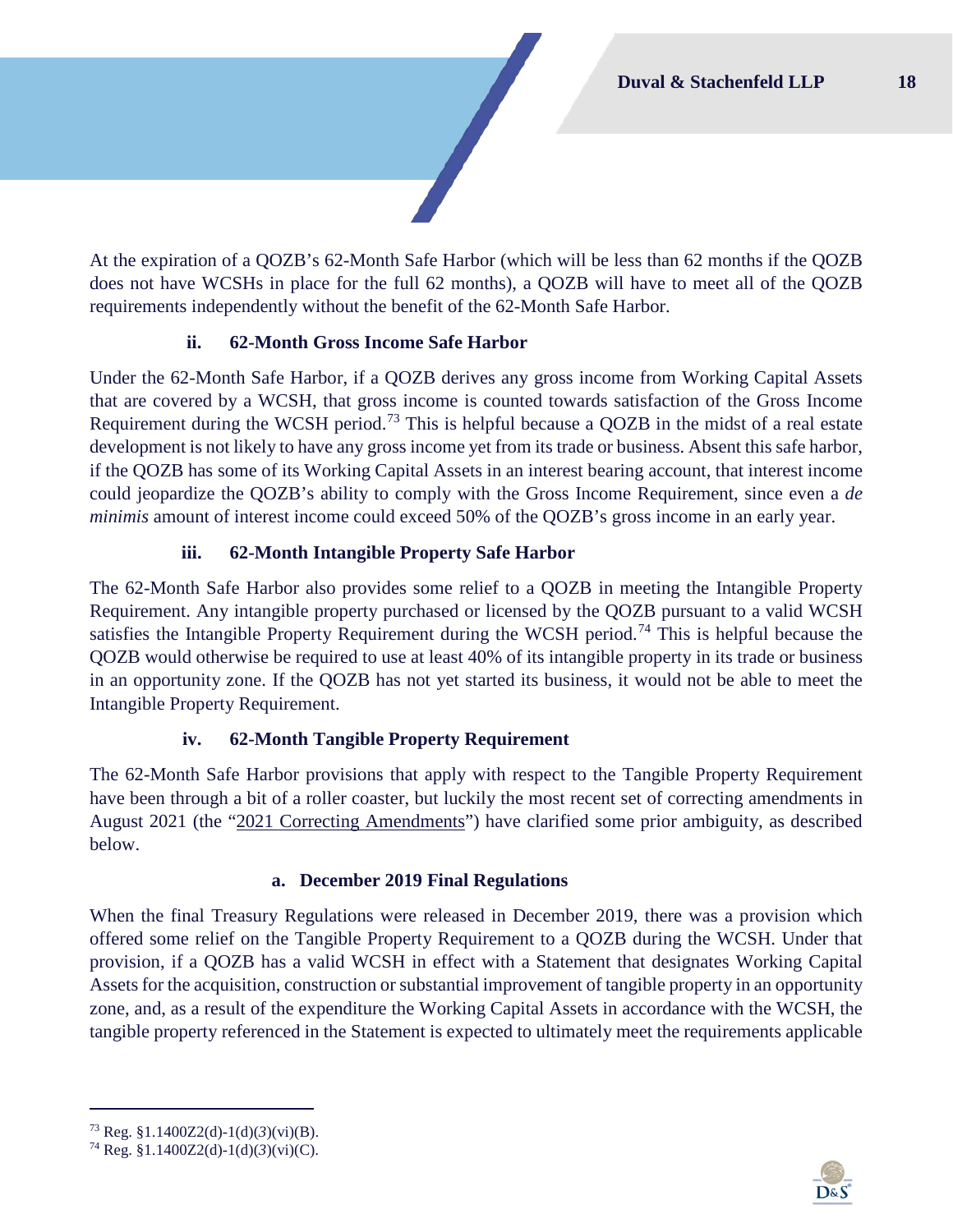At the expiration of a QOZB's 62-Month Safe Harbor (which will be less than 62 months if the QOZB does not have WCSHs in place for the full 62 months), a QOZB will have to meet all of the QOZB requirements independently without the benefit of the 62-Month Safe Harbor.

## **ii. 62-Month Gross Income Safe Harbor**

Under the 62-Month Safe Harbor, if a QOZB derives any gross income from Working Capital Assets that are covered by a WCSH, that gross income is counted towards satisfaction of the Gross Income Requirement during the WCSH period.<sup>[73](#page-18-0)</sup> This is helpful because a QOZB in the midst of a real estate development is not likely to have any gross income yet from its trade or business. Absent this safe harbor, if the QOZB has some of its Working Capital Assets in an interest bearing account, that interest income could jeopardize the QOZB's ability to comply with the Gross Income Requirement, since even a *de minimis* amount of interest income could exceed 50% of the QOZB's gross income in an early year.

## **iii. 62-Month Intangible Property Safe Harbor**

The 62-Month Safe Harbor also provides some relief to a QOZB in meeting the Intangible Property Requirement. Any intangible property purchased or licensed by the QOZB pursuant to a valid WCSH satisfies the Intangible Property Requirement during the WCSH period.<sup>[74](#page-18-1)</sup> This is helpful because the QOZB would otherwise be required to use at least 40% of its intangible property in its trade or business in an opportunity zone. If the QOZB has not yet started its business, it would not be able to meet the Intangible Property Requirement.

## **iv. 62-Month Tangible Property Requirement**

The 62-Month Safe Harbor provisions that apply with respect to the Tangible Property Requirement have been through a bit of a roller coaster, but luckily the most recent set of correcting amendments in August 2021 (the "2021 Correcting Amendments") have clarified some prior ambiguity, as described below.

## **a. December 2019 Final Regulations**

When the final Treasury Regulations were released in December 2019, there was a provision which offered some relief on the Tangible Property Requirement to a QOZB during the WCSH. Under that provision, if a QOZB has a valid WCSH in effect with a Statement that designates Working Capital Assets for the acquisition, construction or substantial improvement of tangible property in an opportunity zone, and, as a result of the expenditure the Working Capital Assets in accordance with the WCSH, the tangible property referenced in the Statement is expected to ultimately meet the requirements applicable



<span id="page-18-0"></span><sup>73</sup> Reg. §1.1400Z2(d)-1(d)(*3*)(vi)(B). 74 Reg. §1.1400Z2(d)-1(d)(*3*)(vi)(C).

<span id="page-18-1"></span>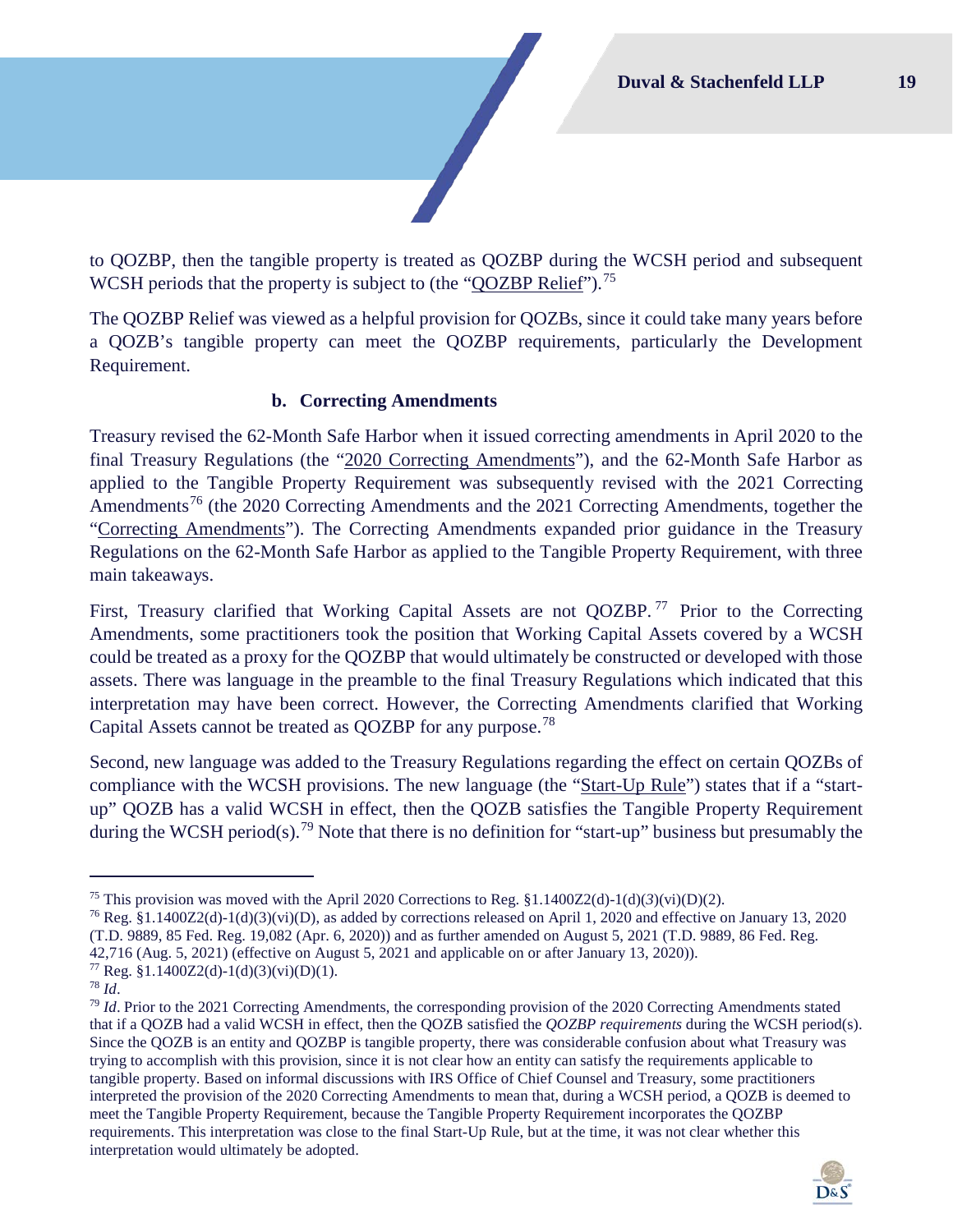to QOZBP, then the tangible property is treated as QOZBP during the WCSH period and subsequent WCSH periods that the property is subject to (the "QOZBP Relief").<sup>75</sup>

The QOZBP Relief was viewed as a helpful provision for QOZBs, since it could take many years before a QOZB's tangible property can meet the QOZBP requirements, particularly the Development Requirement.

#### **b. Correcting Amendments**

Treasury revised the 62-Month Safe Harbor when it issued correcting amendments in April 2020 to the final Treasury Regulations (the "2020 Correcting Amendments"), and the 62-Month Safe Harbor as applied to the Tangible Property Requirement was subsequently revised with the 2021 Correcting Amendments<sup>[76](#page-19-1)</sup> (the 2020 Correcting Amendments and the 2021 Correcting Amendments, together the "Correcting Amendments"). The Correcting Amendments expanded prior guidance in the Treasury Regulations on the 62-Month Safe Harbor as applied to the Tangible Property Requirement, with three main takeaways.

First, Treasury clarified that Working Capital Assets are not QOZBP.<sup>[77](#page-19-2)</sup> Prior to the Correcting Amendments, some practitioners took the position that Working Capital Assets covered by a WCSH could be treated as a proxy for the QOZBP that would ultimately be constructed or developed with those assets. There was language in the preamble to the final Treasury Regulations which indicated that this interpretation may have been correct. However, the Correcting Amendments clarified that Working Capital Assets cannot be treated as QOZBP for any purpose.<sup>[78](#page-19-3)</sup>

Second, new language was added to the Treasury Regulations regarding the effect on certain QOZBs of compliance with the WCSH provisions. The new language (the "Start-Up Rule") states that if a "startup" QOZB has a valid WCSH in effect, then the QOZB satisfies the Tangible Property Requirement during the WCSH period(s).<sup>[79](#page-19-4)</sup> Note that there is no definition for "start-up" business but presumably the

<span id="page-19-4"></span><sup>79</sup> *Id*. Prior to the 2021 Correcting Amendments, the corresponding provision of the 2020 Correcting Amendments stated that if a QOZB had a valid WCSH in effect, then the QOZB satisfied the *QOZBP requirements* during the WCSH period(s). Since the QOZB is an entity and QOZBP is tangible property, there was considerable confusion about what Treasury was trying to accomplish with this provision, since it is not clear how an entity can satisfy the requirements applicable to tangible property. Based on informal discussions with IRS Office of Chief Counsel and Treasury, some practitioners interpreted the provision of the 2020 Correcting Amendments to mean that, during a WCSH period, a QOZB is deemed to meet the Tangible Property Requirement, because the Tangible Property Requirement incorporates the QOZBP requirements. This interpretation was close to the final Start-Up Rule, but at the time, it was not clear whether this interpretation would ultimately be adopted.



<span id="page-19-0"></span><sup>&</sup>lt;sup>75</sup> This provision was moved with the April 2020 Corrections to Reg.  $\frac{1.1400Z2(d)-1(d)}{3(vi)(D)(2)}$ .

<span id="page-19-1"></span><sup>&</sup>lt;sup>76</sup> Reg. §1.1400Z2(d)-1(d)(3)(vi)(D), as added by corrections released on April 1, 2020 and effective on January 13, 2020 (T.D. 9889, 85 Fed. Reg. 19,082 (Apr. 6, 2020)) and as further amended on August 5, 2021 (T.D. 9889, 86 Fed. Reg. 42,716 (Aug. 5, 2021) (effective on August 5, 2021 and applicable on or after January 13, 2020)).

<span id="page-19-3"></span><span id="page-19-2"></span><sup>77</sup> Reg. §1.1400Z2(d)-1(d)(3)(vi)(D)(1). 78 *Id*.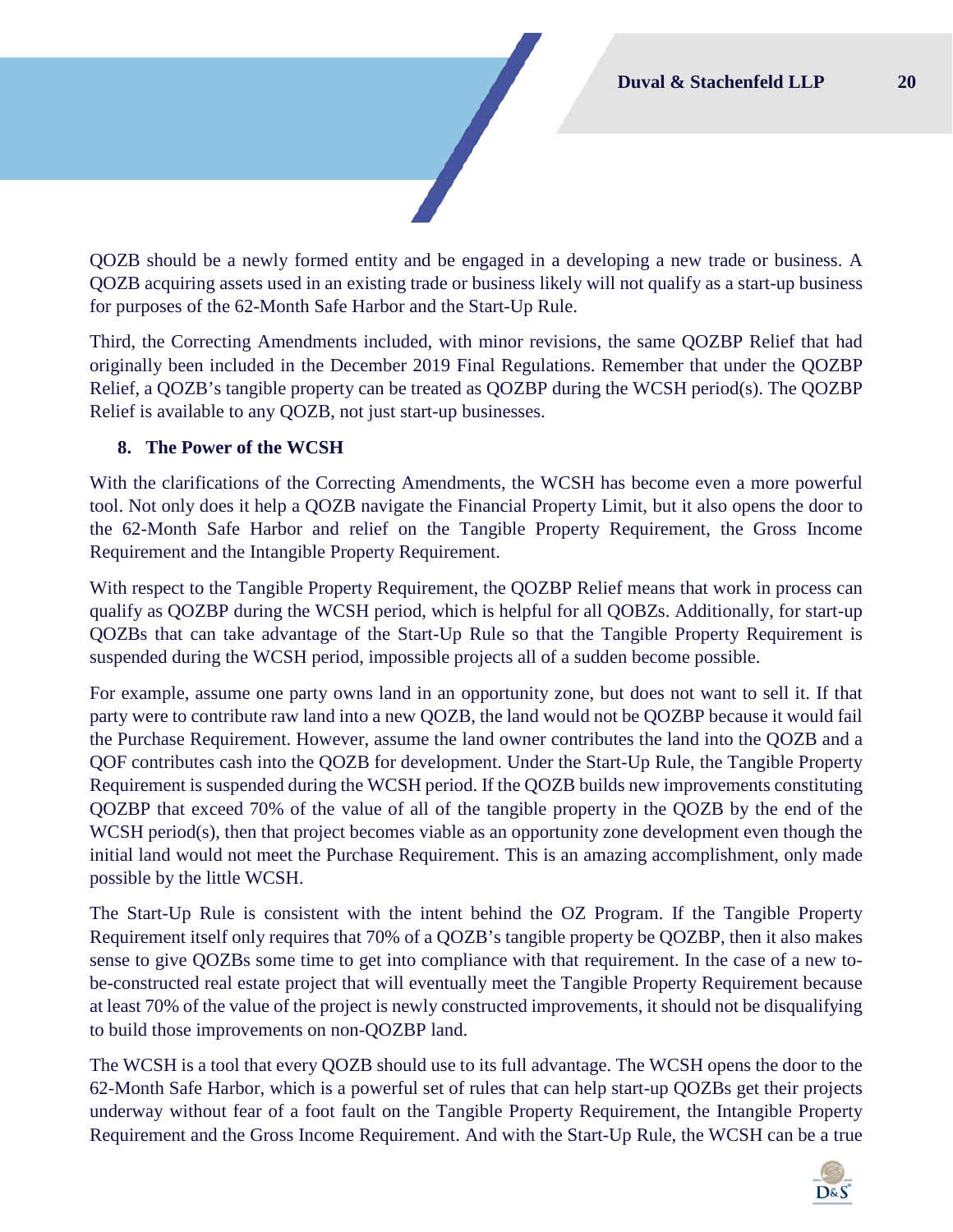QOZB should be a newly formed entity and be engaged in a developing a new trade or business. A QOZB acquiring assets used in an existing trade or business likely will not qualify as a start-up business for purposes of the 62-Month Safe Harbor and the Start-Up Rule.

Third, the Correcting Amendments included, with minor revisions, the same QOZBP Relief that had originally been included in the December 2019 Final Regulations. Remember that under the QOZBP Relief, a QOZB's tangible property can be treated as QOZBP during the WCSH period(s). The QOZBP Relief is available to any QOZB, not just start-up businesses.

## **8. The Power of the WCSH**

With the clarifications of the Correcting Amendments, the WCSH has become even a more powerful tool. Not only does it help a QOZB navigate the Financial Property Limit, but it also opens the door to the 62-Month Safe Harbor and relief on the Tangible Property Requirement, the Gross Income Requirement and the Intangible Property Requirement.

With respect to the Tangible Property Requirement, the QOZBP Relief means that work in process can qualify as QOZBP during the WCSH period, which is helpful for all QOBZs. Additionally, for start-up QOZBs that can take advantage of the Start-Up Rule so that the Tangible Property Requirement is suspended during the WCSH period, impossible projects all of a sudden become possible.

For example, assume one party owns land in an opportunity zone, but does not want to sell it. If that party were to contribute raw land into a new QOZB, the land would not be QOZBP because it would fail the Purchase Requirement. However, assume the land owner contributes the land into the QOZB and a QOF contributes cash into the QOZB for development. Under the Start-Up Rule, the Tangible Property Requirement is suspended during the WCSH period. If the QOZB builds new improvements constituting QOZBP that exceed 70% of the value of all of the tangible property in the QOZB by the end of the WCSH period(s), then that project becomes viable as an opportunity zone development even though the initial land would not meet the Purchase Requirement. This is an amazing accomplishment, only made possible by the little WCSH.

The Start-Up Rule is consistent with the intent behind the OZ Program. If the Tangible Property Requirement itself only requires that 70% of a QOZB's tangible property be QOZBP, then it also makes sense to give QOZBs some time to get into compliance with that requirement. In the case of a new tobe-constructed real estate project that will eventually meet the Tangible Property Requirement because at least 70% of the value of the project is newly constructed improvements, it should not be disqualifying to build those improvements on non-QOZBP land.

The WCSH is a tool that every QOZB should use to its full advantage. The WCSH opens the door to the 62-Month Safe Harbor, which is a powerful set of rules that can help start-up QOZBs get their projects underway without fear of a foot fault on the Tangible Property Requirement, the Intangible Property Requirement and the Gross Income Requirement. And with the Start-Up Rule, the WCSH can be a true